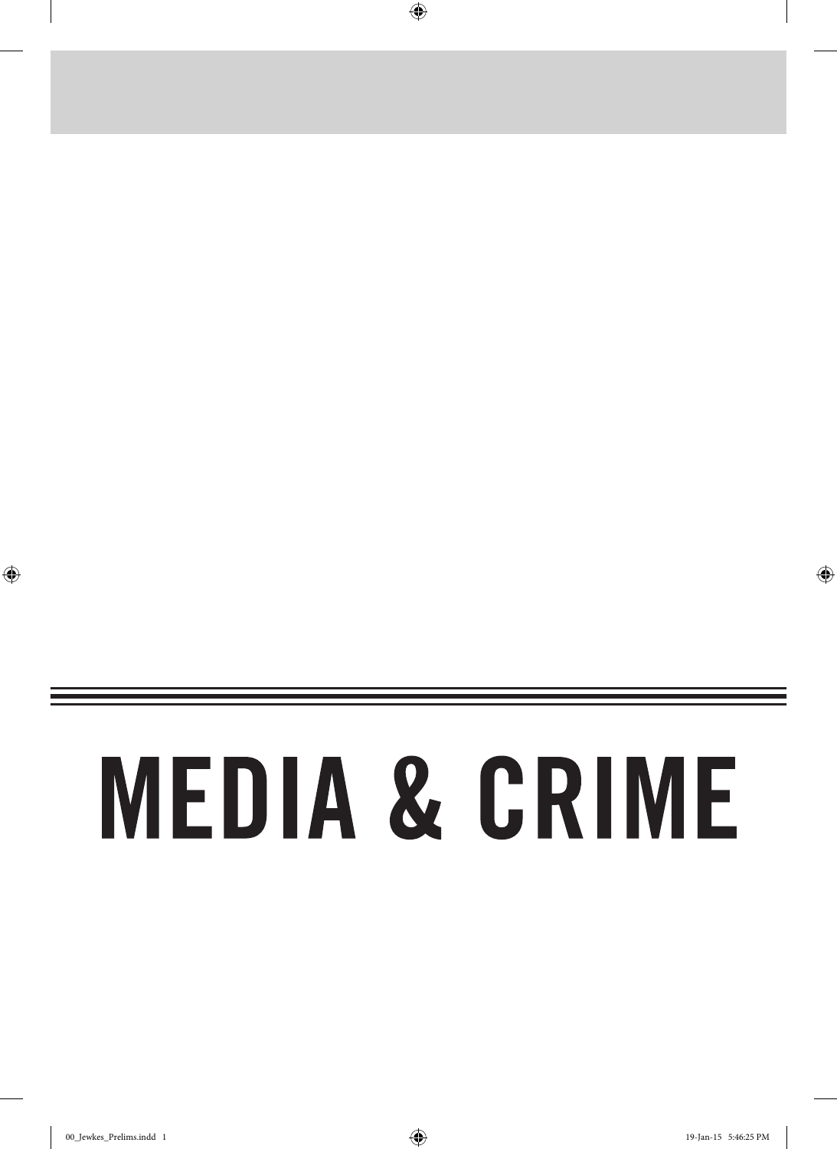

 $\bigoplus$ 

 $\bigoplus$ 

 $\bigoplus$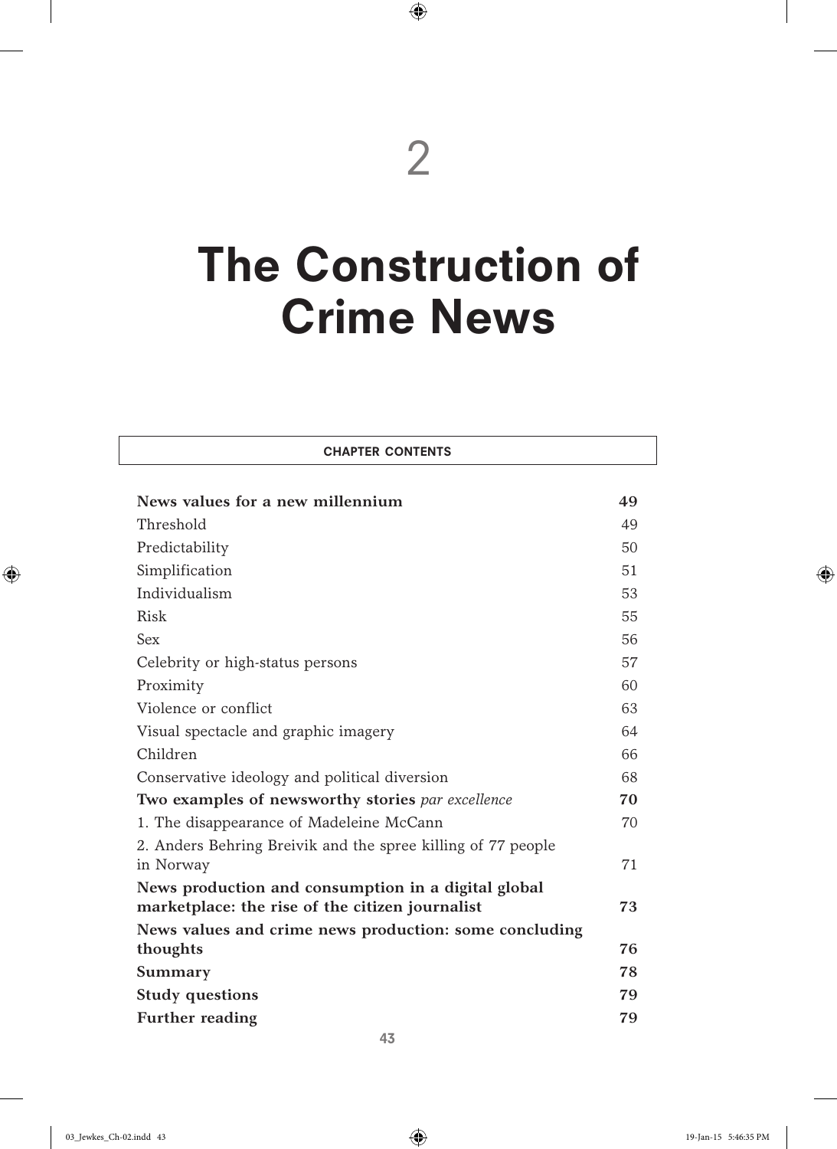$\bigoplus$ 

# The Construction of Crime News

| <b>CHAPTER CONTENTS</b>                                                                                |    |
|--------------------------------------------------------------------------------------------------------|----|
| News values for a new millennium                                                                       | 49 |
| Threshold                                                                                              | 49 |
| Predictability                                                                                         | 50 |
| Simplification                                                                                         | 51 |
| Individualism                                                                                          | 53 |
| <b>Risk</b>                                                                                            | 55 |
| Sex                                                                                                    | 56 |
| Celebrity or high-status persons                                                                       | 57 |
| Proximity                                                                                              | 60 |
| Violence or conflict                                                                                   | 63 |
| Visual spectacle and graphic imagery                                                                   | 64 |
| Children                                                                                               | 66 |
| Conservative ideology and political diversion                                                          | 68 |
| Two examples of newsworthy stories par excellence                                                      | 70 |
| 1. The disappearance of Madeleine McCann                                                               | 70 |
| 2. Anders Behring Breivik and the spree killing of 77 people                                           |    |
| in Norway                                                                                              | 71 |
| News production and consumption in a digital global<br>marketplace: the rise of the citizen journalist | 73 |
| News values and crime news production: some concluding                                                 |    |
| thoughts                                                                                               | 76 |
| Summary                                                                                                | 78 |
| <b>Study questions</b>                                                                                 | 79 |
| <b>Further reading</b>                                                                                 | 79 |

 $\bigoplus$ 

 $\bigoplus$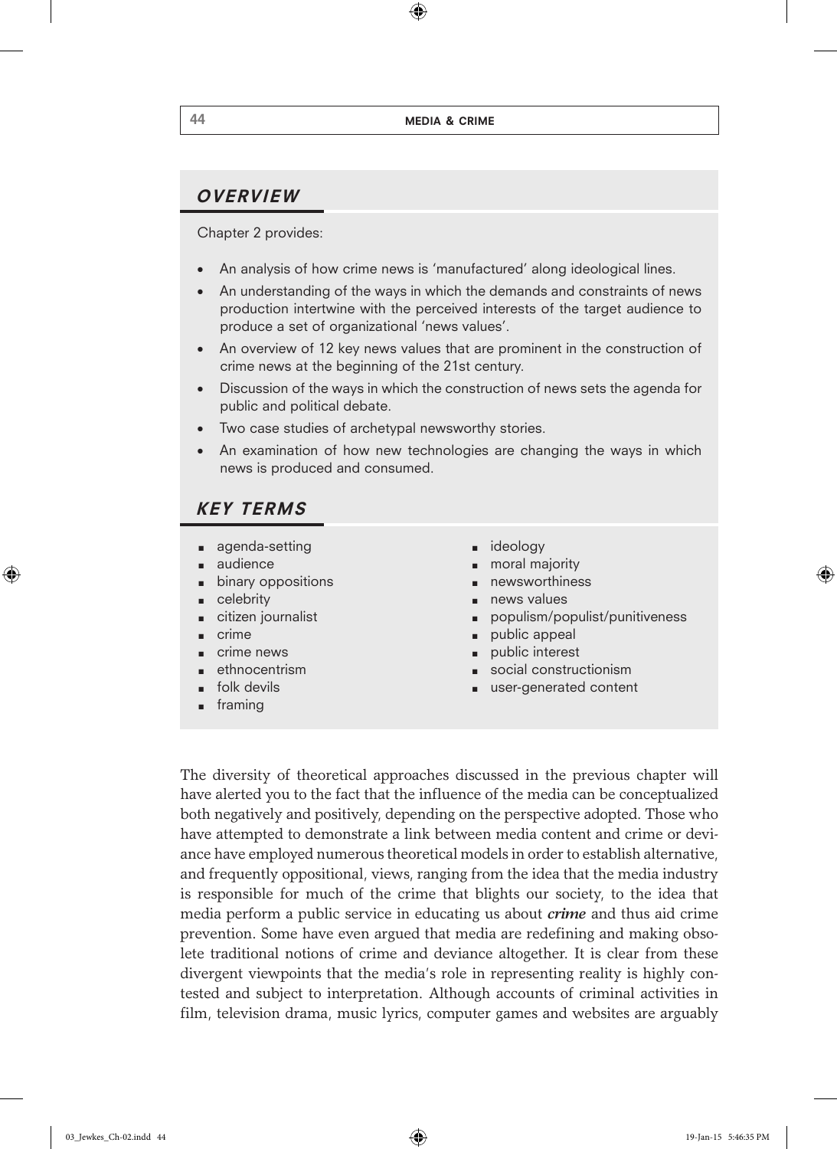$\bigoplus$ 

# OVERVIEW

Chapter 2 provides:

- An analysis of how crime news is 'manufactured' along ideological lines.
- An understanding of the ways in which the demands and constraints of news production intertwine with the perceived interests of the target audience to produce a set of organizational 'news values'.
- An overview of 12 key news values that are prominent in the construction of crime news at the beginning of the 21st century.
- Discussion of the ways in which the construction of news sets the agenda for public and political debate.
- Two case studies of archetypal newsworthy stories.
- An examination of how new technologies are changing the ways in which news is produced and consumed.

# KEY TERMS

- agenda-setting
- audience
- binary oppositions
- celebrity
- citizen journalist
- crime
- crime news
- ethnocentrism
- folk devils
- framing
- ideology
- moral majority
- newsworthiness
- news values
- populism/populist/punitiveness
- public appeal
- public interest
- social constructionism
- user-generated content

The diversity of theoretical approaches discussed in the previous chapter will have alerted you to the fact that the influence of the media can be conceptualized both negatively and positively, depending on the perspective adopted. Those who have attempted to demonstrate a link between media content and crime or deviance have employed numerous theoretical models in order to establish alternative, and frequently oppositional, views, ranging from the idea that the media industry is responsible for much of the crime that blights our society, to the idea that media perform a public service in educating us about *crime* and thus aid crime prevention. Some have even argued that media are redefining and making obsolete traditional notions of crime and deviance altogether. It is clear from these divergent viewpoints that the media's role in representing reality is highly contested and subject to interpretation. Although accounts of criminal activities in film, television drama, music lyrics, computer games and websites are arguably

⊕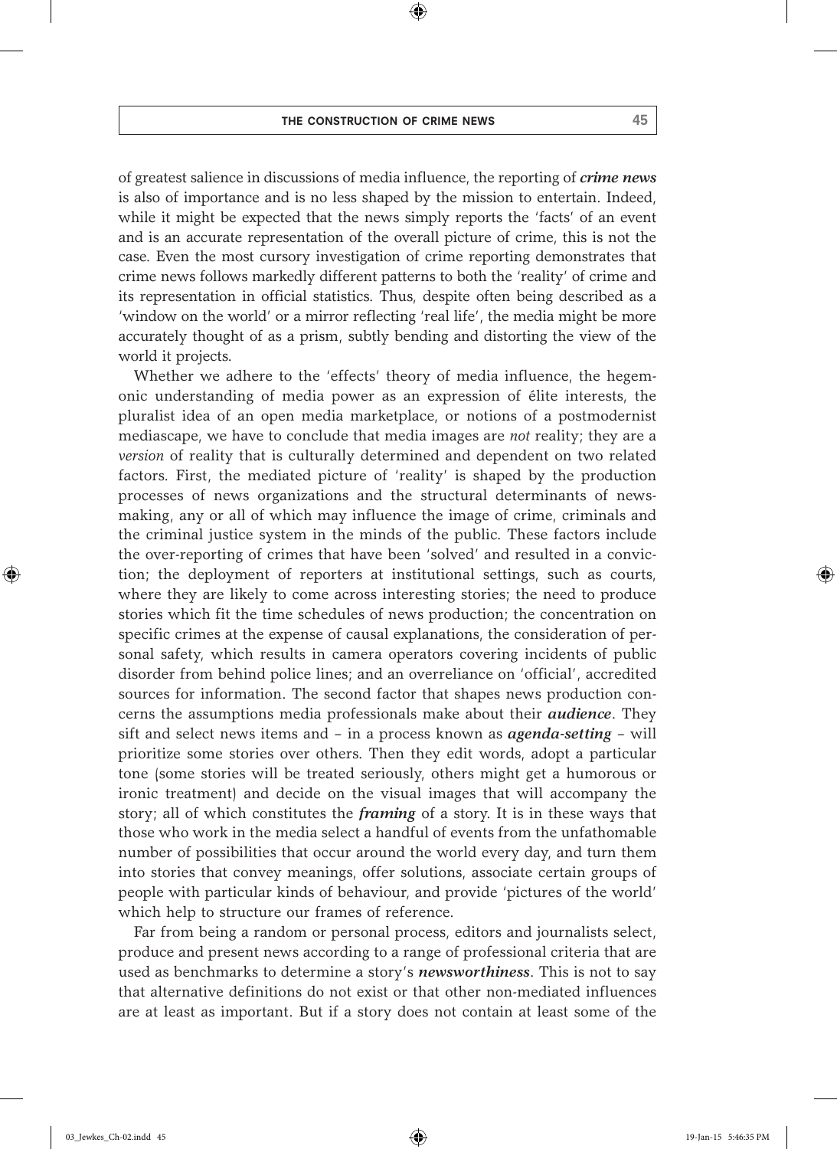#### the construction of crime news 45

⊕

of greatest salience in discussions of media influence, the reporting of *crime news*  is also of importance and is no less shaped by the mission to entertain. Indeed, while it might be expected that the news simply reports the 'facts' of an event and is an accurate representation of the overall picture of crime, this is not the case. Even the most cursory investigation of crime reporting demonstrates that crime news follows markedly different patterns to both the 'reality' of crime and its representation in official statistics. Thus, despite often being described as a 'window on the world' or a mirror reflecting 'real life', the media might be more accurately thought of as a prism, subtly bending and distorting the view of the world it projects.

Whether we adhere to the 'effects' theory of media influence, the hegemonic understanding of media power as an expression of élite interests, the pluralist idea of an open media marketplace, or notions of a postmodernist mediascape, we have to conclude that media images are *not* reality; they are a *version* of reality that is culturally determined and dependent on two related factors. First, the mediated picture of 'reality' is shaped by the production processes of news organizations and the structural determinants of newsmaking, any or all of which may influence the image of crime, criminals and the criminal justice system in the minds of the public. These factors include the over-reporting of crimes that have been 'solved' and resulted in a conviction; the deployment of reporters at institutional settings, such as courts, where they are likely to come across interesting stories; the need to produce stories which fit the time schedules of news production; the concentration on specific crimes at the expense of causal explanations, the consideration of personal safety, which results in camera operators covering incidents of public disorder from behind police lines; and an overreliance on 'official', accredited sources for information. The second factor that shapes news production concerns the assumptions media professionals make about their *audience*. They sift and select news items and – in a process known as *agenda-setting* – will prioritize some stories over others. Then they edit words, adopt a particular tone (some stories will be treated seriously, others might get a humorous or ironic treatment) and decide on the visual images that will accompany the story; all of which constitutes the *framing* of a story. It is in these ways that those who work in the media select a handful of events from the unfathomable number of possibilities that occur around the world every day, and turn them into stories that convey meanings, offer solutions, associate certain groups of people with particular kinds of behaviour, and provide 'pictures of the world' which help to structure our frames of reference.

Far from being a random or personal process, editors and journalists select, produce and present news according to a range of professional criteria that are used as benchmarks to determine a story's *newsworthiness*. This is not to say that alternative definitions do not exist or that other non-mediated influences are at least as important. But if a story does not contain at least some of the

⊕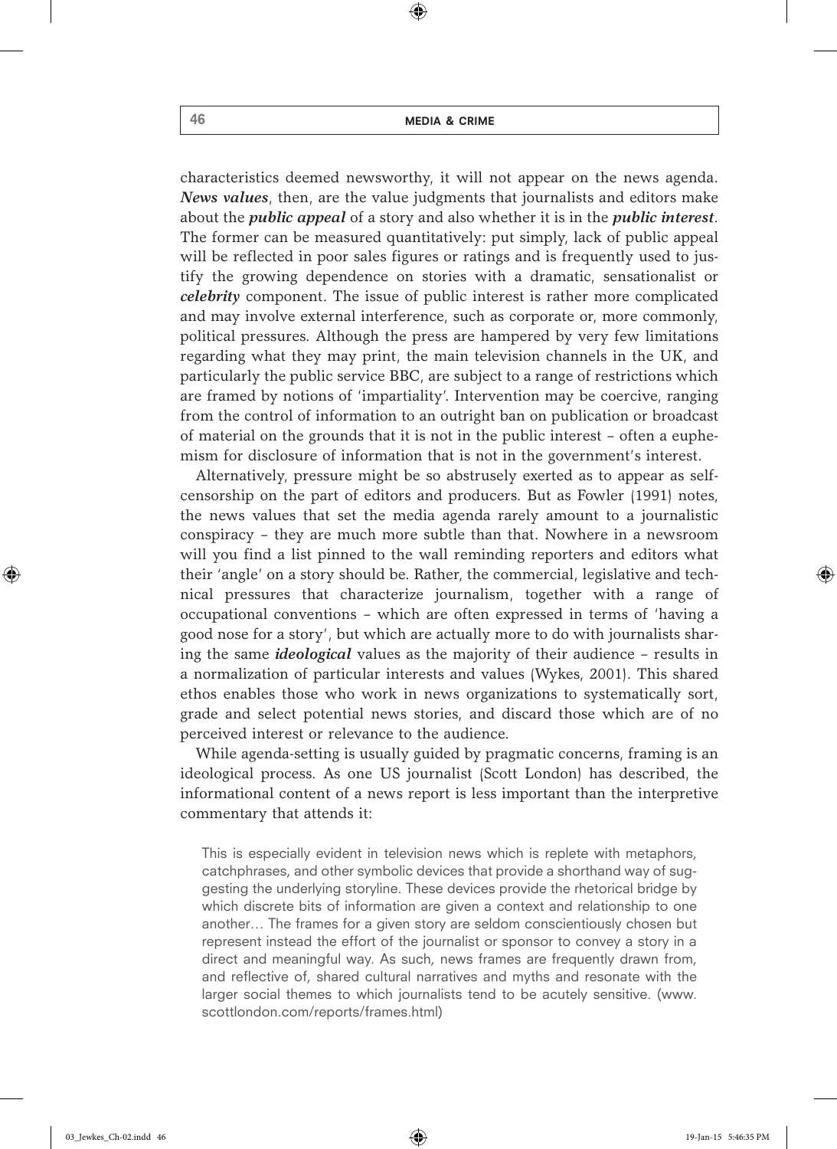# 46 media & crime and media & crime

 $\textcircled{\scriptsize{*}}$ 

characteristics deemed newsworthy, it will not appear on the news agenda. *News values*, then, are the value judgments that journalists and editors make about the *public appeal* of a story and also whether it is in the *public interest*. The former can be measured quantitatively: put simply, lack of public appeal will be reflected in poor sales figures or ratings and is frequently used to justify the growing dependence on stories with a dramatic, sensationalist or *celebrity* component. The issue of public interest is rather more complicated and may involve external interference, such as corporate or, more commonly, political pressures. Although the press are hampered by very few limitations regarding what they may print, the main television channels in the UK, and particularly the public service BBC, are subject to a range of restrictions which are framed by notions of 'impartiality'. Intervention may be coercive, ranging from the control of information to an outright ban on publication or broadcast of material on the grounds that it is not in the public interest – often a euphemism for disclosure of information that is not in the government's interest.

Alternatively, pressure might be so abstrusely exerted as to appear as selfcensorship on the part of editors and producers. But as Fowler (1991) notes, the news values that set the media agenda rarely amount to a journalistic conspiracy – they are much more subtle than that. Nowhere in a newsroom will you find a list pinned to the wall reminding reporters and editors what their 'angle' on a story should be. Rather, the commercial, legislative and technical pressures that characterize journalism, together with a range of occupational conventions – which are often expressed in terms of 'having a good nose for a story', but which are actually more to do with journalists sharing the same *ideological* values as the majority of their audience – results in a normalization of particular interests and values (Wykes, 2001). This shared ethos enables those who work in news organizations to systematically sort, grade and select potential news stories, and discard those which are of no perceived interest or relevance to the audience.

While agenda-setting is usually guided by pragmatic concerns, framing is an ideological process. As one US journalist (Scott London) has described, the informational content of a news report is less important than the interpretive commentary that attends it:

This is especially evident in television news which is replete with metaphors, catchphrases, and other symbolic devices that provide a shorthand way of suggesting the underlying storyline. These devices provide the rhetorical bridge by which discrete bits of information are given a context and relationship to one another… The frames for a given story are seldom conscientiously chosen but represent instead the effort of the journalist or sponsor to convey a story in a direct and meaningful way. As such, news frames are frequently drawn from, and reflective of, shared cultural narratives and myths and resonate with the larger social themes to which journalists tend to be acutely sensitive. (www. scottlondon.com/reports/frames.html)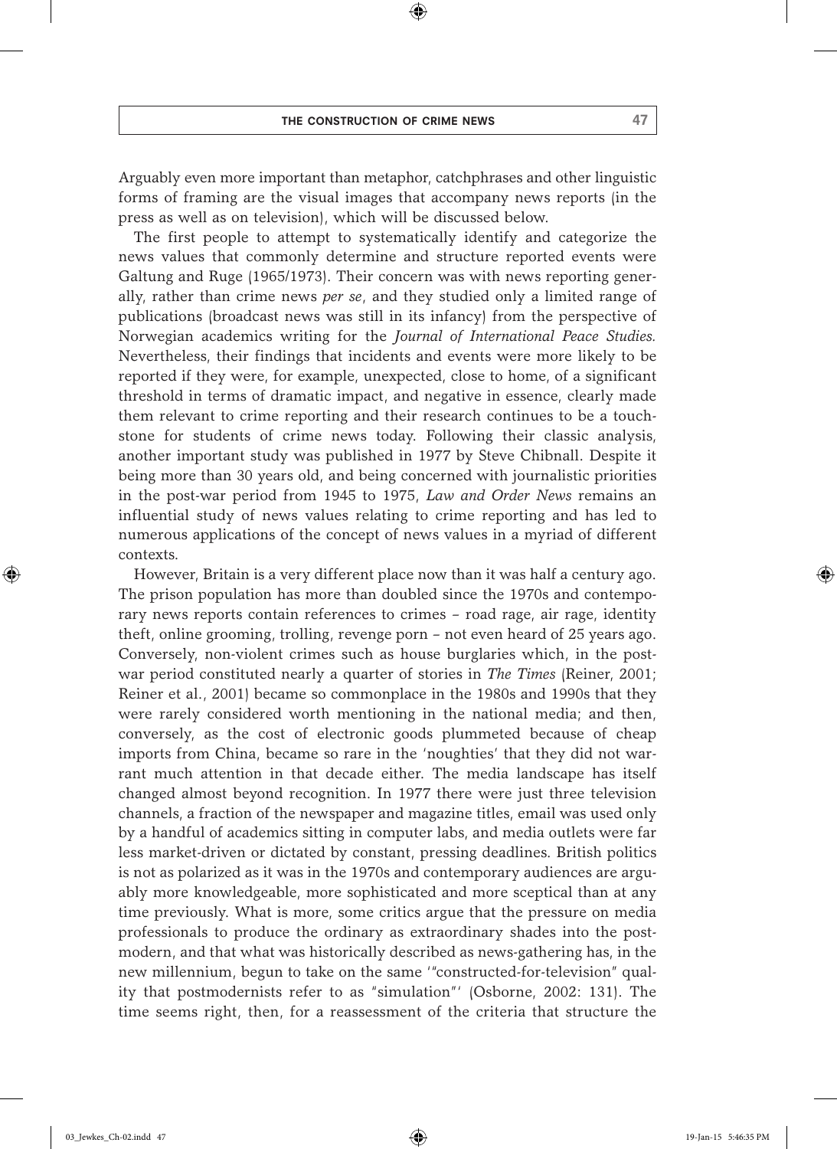⊕

Arguably even more important than metaphor, catchphrases and other linguistic forms of framing are the visual images that accompany news reports (in the press as well as on television), which will be discussed below.

The first people to attempt to systematically identify and categorize the news values that commonly determine and structure reported events were Galtung and Ruge (1965/1973). Their concern was with news reporting generally, rather than crime news *per se*, and they studied only a limited range of publications (broadcast news was still in its infancy) from the perspective of Norwegian academics writing for the *Journal of International Peace Studies.*  Nevertheless, their findings that incidents and events were more likely to be reported if they were, for example, unexpected, close to home, of a significant threshold in terms of dramatic impact, and negative in essence, clearly made them relevant to crime reporting and their research continues to be a touchstone for students of crime news today. Following their classic analysis, another important study was published in 1977 by Steve Chibnall. Despite it being more than 30 years old, and being concerned with journalistic priorities in the post-war period from 1945 to 1975, *Law and Order News* remains an influential study of news values relating to crime reporting and has led to numerous applications of the concept of news values in a myriad of different contexts.

However, Britain is a very different place now than it was half a century ago. The prison population has more than doubled since the 1970s and contemporary news reports contain references to crimes – road rage, air rage, identity theft, online grooming, trolling, revenge porn – not even heard of 25 years ago. Conversely, non-violent crimes such as house burglaries which, in the postwar period constituted nearly a quarter of stories in *The Times* (Reiner, 2001; Reiner et al., 2001) became so commonplace in the 1980s and 1990s that they were rarely considered worth mentioning in the national media; and then, conversely, as the cost of electronic goods plummeted because of cheap imports from China, became so rare in the 'noughties' that they did not warrant much attention in that decade either. The media landscape has itself changed almost beyond recognition. In 1977 there were just three television channels, a fraction of the newspaper and magazine titles, email was used only by a handful of academics sitting in computer labs, and media outlets were far less market-driven or dictated by constant, pressing deadlines. British politics is not as polarized as it was in the 1970s and contemporary audiences are arguably more knowledgeable, more sophisticated and more sceptical than at any time previously. What is more, some critics argue that the pressure on media professionals to produce the ordinary as extraordinary shades into the postmodern, and that what was historically described as news-gathering has, in the new millennium, begun to take on the same '"constructed-for-television" quality that postmodernists refer to as "simulation"' (Osborne, 2002: 131). The time seems right, then, for a reassessment of the criteria that structure the

♠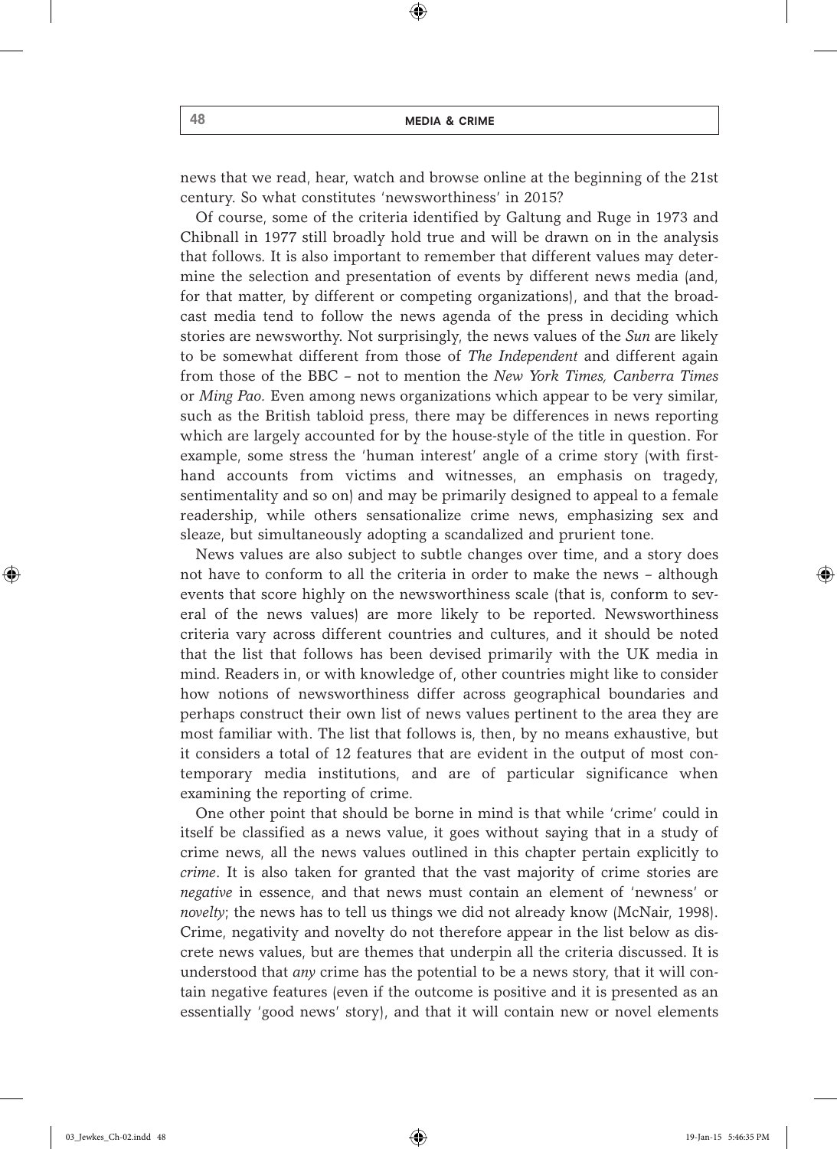⊕

news that we read, hear, watch and browse online at the beginning of the 21st century. So what constitutes 'newsworthiness' in 2015?

Of course, some of the criteria identified by Galtung and Ruge in 1973 and Chibnall in 1977 still broadly hold true and will be drawn on in the analysis that follows. It is also important to remember that different values may determine the selection and presentation of events by different news media (and, for that matter, by different or competing organizations), and that the broadcast media tend to follow the news agenda of the press in deciding which stories are newsworthy. Not surprisingly, the news values of the *Sun* are likely to be somewhat different from those of *The Independent* and different again from those of the BBC – not to mention the *New York Times, Canberra Times* or *Ming Pao.* Even among news organizations which appear to be very similar, such as the British tabloid press, there may be differences in news reporting which are largely accounted for by the house-style of the title in question. For example, some stress the 'human interest' angle of a crime story (with firsthand accounts from victims and witnesses, an emphasis on tragedy, sentimentality and so on) and may be primarily designed to appeal to a female readership, while others sensationalize crime news, emphasizing sex and sleaze, but simultaneously adopting a scandalized and prurient tone.

News values are also subject to subtle changes over time, and a story does not have to conform to all the criteria in order to make the news – although events that score highly on the newsworthiness scale (that is, conform to several of the news values) are more likely to be reported. Newsworthiness criteria vary across different countries and cultures, and it should be noted that the list that follows has been devised primarily with the UK media in mind. Readers in, or with knowledge of, other countries might like to consider how notions of newsworthiness differ across geographical boundaries and perhaps construct their own list of news values pertinent to the area they are most familiar with. The list that follows is, then, by no means exhaustive, but it considers a total of 12 features that are evident in the output of most contemporary media institutions, and are of particular significance when examining the reporting of crime.

One other point that should be borne in mind is that while 'crime' could in itself be classified as a news value, it goes without saying that in a study of crime news, all the news values outlined in this chapter pertain explicitly to *crime*. It is also taken for granted that the vast majority of crime stories are *negative* in essence, and that news must contain an element of 'newness' or *novelty*; the news has to tell us things we did not already know (McNair, 1998). Crime, negativity and novelty do not therefore appear in the list below as discrete news values, but are themes that underpin all the criteria discussed. It is understood that *any* crime has the potential to be a news story, that it will contain negative features (even if the outcome is positive and it is presented as an essentially 'good news' story), and that it will contain new or novel elements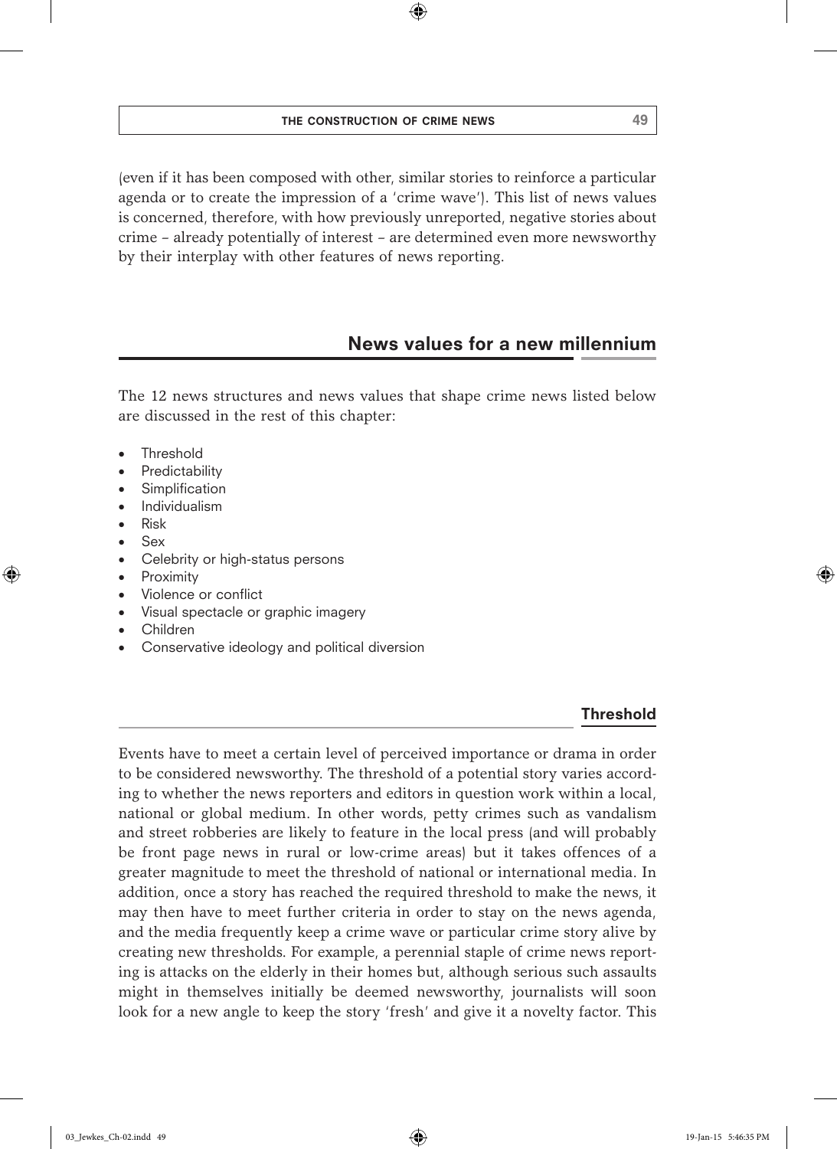$\textcircled{\scriptsize{*}}$ 

(even if it has been composed with other, similar stories to reinforce a particular agenda or to create the impression of a 'crime wave'). This list of news values is concerned, therefore, with how previously unreported, negative stories about crime – already potentially of interest – are determined even more newsworthy by their interplay with other features of news reporting.

# News values for a new millennium

The 12 news structures and news values that shape crime news listed below are discussed in the rest of this chapter:

- **Threshold**
- **Predictability**
- **Simplification**
- Individualism
- Risk
- Sex

♠

- Celebrity or high-status persons
- **Proximity**
- Violence or conflict
- Visual spectacle or graphic imagery
- Children
- Conservative ideology and political diversion

#### **Threshold**

Events have to meet a certain level of perceived importance or drama in order to be considered newsworthy. The threshold of a potential story varies according to whether the news reporters and editors in question work within a local, national or global medium. In other words, petty crimes such as vandalism and street robberies are likely to feature in the local press (and will probably be front page news in rural or low-crime areas) but it takes offences of a greater magnitude to meet the threshold of national or international media. In addition, once a story has reached the required threshold to make the news, it may then have to meet further criteria in order to stay on the news agenda, and the media frequently keep a crime wave or particular crime story alive by creating new thresholds. For example, a perennial staple of crime news reporting is attacks on the elderly in their homes but, although serious such assaults might in themselves initially be deemed newsworthy, journalists will soon look for a new angle to keep the story 'fresh' and give it a novelty factor. This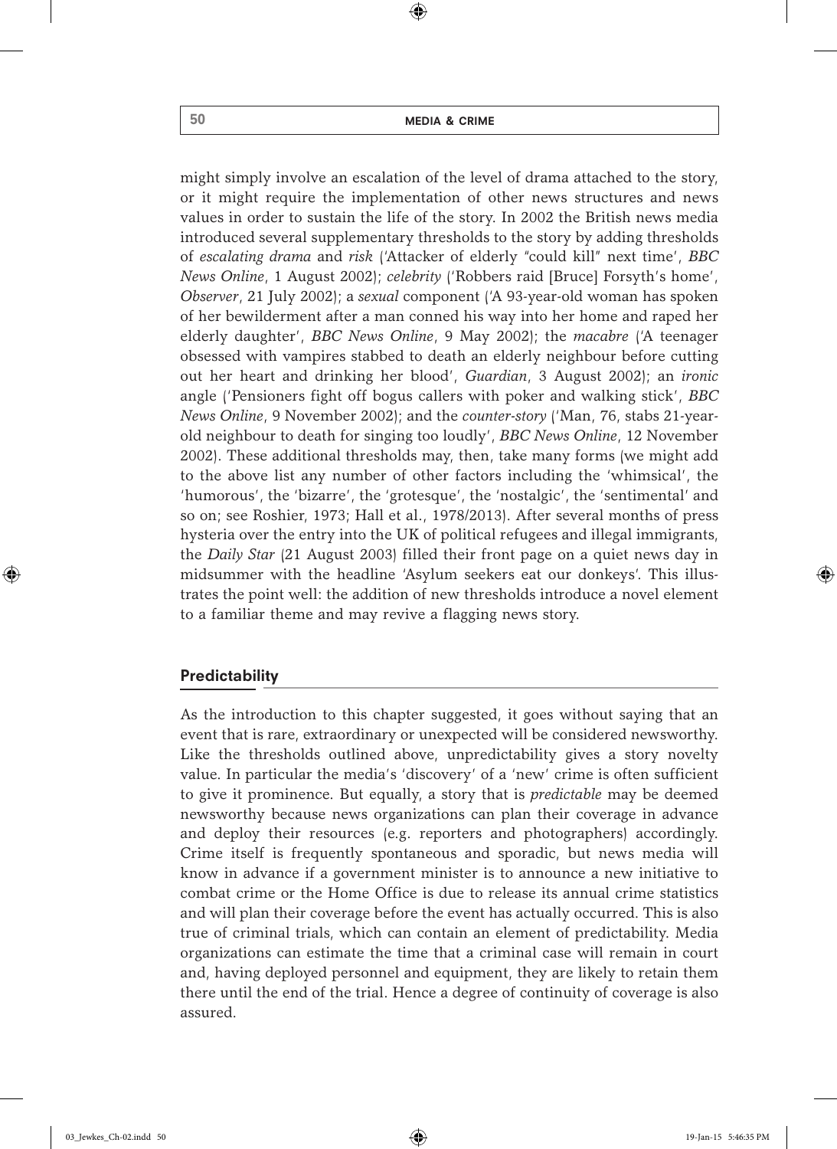# 50 media & crime

 $\textcircled{\scriptsize{*}}$ 

might simply involve an escalation of the level of drama attached to the story, or it might require the implementation of other news structures and news values in order to sustain the life of the story. In 2002 the British news media introduced several supplementary thresholds to the story by adding thresholds of *escalating drama* and *risk* ('Attacker of elderly "could kill" next time', *BBC News Online*, 1 August 2002); *celebrity* ('Robbers raid [Bruce] Forsyth's home', *Observer*, 21 July 2002); a *sexual* component ('A 93-year-old woman has spoken of her bewilderment after a man conned his way into her home and raped her elderly daughter', *BBC News Online*, 9 May 2002); the *macabre* ('A teenager obsessed with vampires stabbed to death an elderly neighbour before cutting out her heart and drinking her blood', *Guardian*, 3 August 2002); an *ironic*  angle ('Pensioners fight off bogus callers with poker and walking stick', *BBC News Online*, 9 November 2002); and the *counter-story* ('Man, 76, stabs 21-yearold neighbour to death for singing too loudly', *BBC News Online*, 12 November 2002). These additional thresholds may, then, take many forms (we might add to the above list any number of other factors including the 'whimsical', the 'humorous', the 'bizarre', the 'grotesque', the 'nostalgic', the 'sentimental' and so on; see Roshier, 1973; Hall et al., 1978/2013). After several months of press hysteria over the entry into the UK of political refugees and illegal immigrants, the *Daily Star* (21 August 2003) filled their front page on a quiet news day in midsummer with the headline 'Asylum seekers eat our donkeys'. This illustrates the point well: the addition of new thresholds introduce a novel element to a familiar theme and may revive a flagging news story.

#### **Predictability**

As the introduction to this chapter suggested, it goes without saying that an event that is rare, extraordinary or unexpected will be considered newsworthy. Like the thresholds outlined above, unpredictability gives a story novelty value. In particular the media's 'discovery' of a 'new' crime is often sufficient to give it prominence. But equally, a story that is *predictable* may be deemed newsworthy because news organizations can plan their coverage in advance and deploy their resources (e.g. reporters and photographers) accordingly. Crime itself is frequently spontaneous and sporadic, but news media will know in advance if a government minister is to announce a new initiative to combat crime or the Home Office is due to release its annual crime statistics and will plan their coverage before the event has actually occurred. This is also true of criminal trials, which can contain an element of predictability. Media organizations can estimate the time that a criminal case will remain in court and, having deployed personnel and equipment, they are likely to retain them there until the end of the trial. Hence a degree of continuity of coverage is also assured.

♠

 $\Leftrightarrow$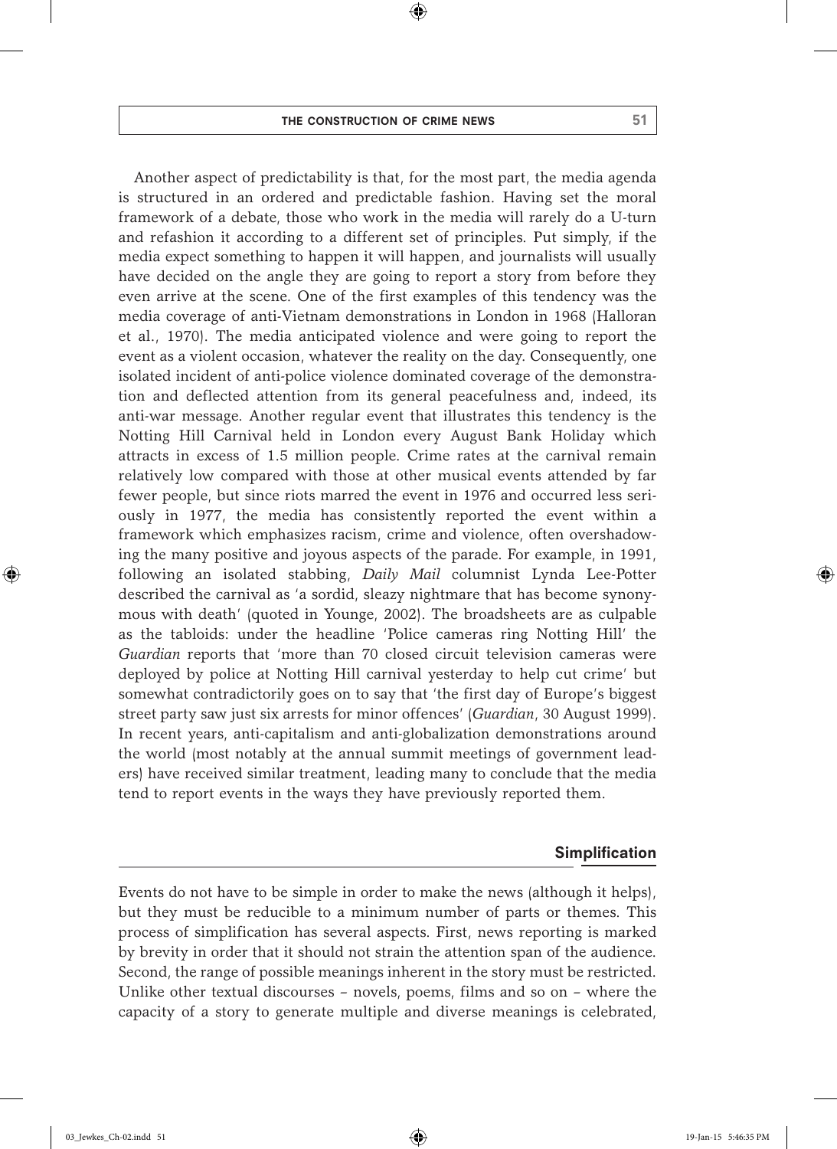⊕

Another aspect of predictability is that, for the most part, the media agenda is structured in an ordered and predictable fashion. Having set the moral framework of a debate, those who work in the media will rarely do a U-turn and refashion it according to a different set of principles. Put simply, if the media expect something to happen it will happen, and journalists will usually have decided on the angle they are going to report a story from before they even arrive at the scene. One of the first examples of this tendency was the media coverage of anti-Vietnam demonstrations in London in 1968 (Halloran et al., 1970). The media anticipated violence and were going to report the event as a violent occasion, whatever the reality on the day. Consequently, one isolated incident of anti-police violence dominated coverage of the demonstration and deflected attention from its general peacefulness and, indeed, its anti-war message. Another regular event that illustrates this tendency is the Notting Hill Carnival held in London every August Bank Holiday which attracts in excess of 1.5 million people. Crime rates at the carnival remain relatively low compared with those at other musical events attended by far fewer people, but since riots marred the event in 1976 and occurred less seriously in 1977, the media has consistently reported the event within a framework which emphasizes racism, crime and violence, often overshadowing the many positive and joyous aspects of the parade. For example, in 1991, following an isolated stabbing, *Daily Mail* columnist Lynda Lee-Potter described the carnival as 'a sordid, sleazy nightmare that has become synonymous with death' (quoted in Younge, 2002). The broadsheets are as culpable as the tabloids: under the headline 'Police cameras ring Notting Hill' the *Guardian* reports that 'more than 70 closed circuit television cameras were deployed by police at Notting Hill carnival yesterday to help cut crime' but somewhat contradictorily goes on to say that 'the first day of Europe's biggest street party saw just six arrests for minor offences' (*Guardian*, 30 August 1999). In recent years, anti-capitalism and anti-globalization demonstrations around the world (most notably at the annual summit meetings of government leaders) have received similar treatment, leading many to conclude that the media tend to report events in the ways they have previously reported them.

# Simplification

Events do not have to be simple in order to make the news (although it helps), but they must be reducible to a minimum number of parts or themes. This process of simplification has several aspects. First, news reporting is marked by brevity in order that it should not strain the attention span of the audience. Second, the range of possible meanings inherent in the story must be restricted. Unlike other textual discourses – novels, poems, films and so on – where the capacity of a story to generate multiple and diverse meanings is celebrated,

♠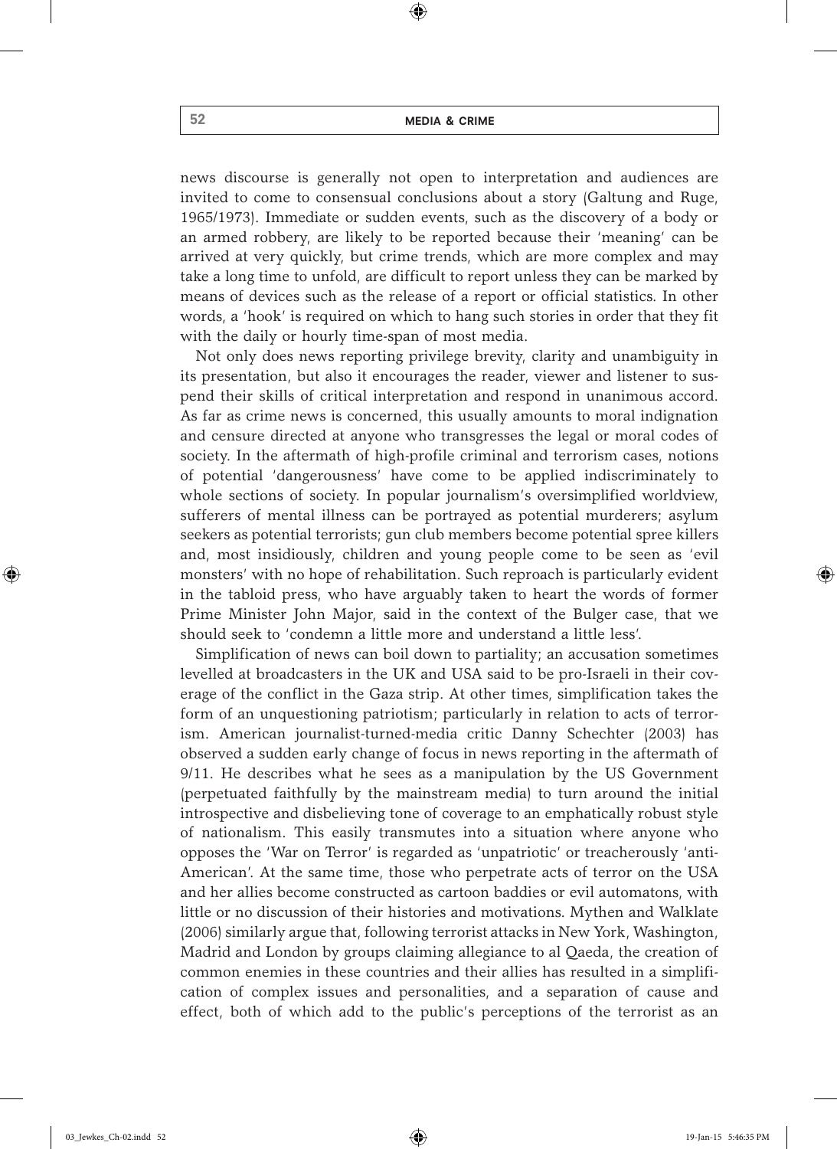⊕

news discourse is generally not open to interpretation and audiences are invited to come to consensual conclusions about a story (Galtung and Ruge, 1965/1973). Immediate or sudden events, such as the discovery of a body or an armed robbery, are likely to be reported because their 'meaning' can be arrived at very quickly, but crime trends, which are more complex and may take a long time to unfold, are difficult to report unless they can be marked by means of devices such as the release of a report or official statistics. In other words, a 'hook' is required on which to hang such stories in order that they fit with the daily or hourly time-span of most media.

Not only does news reporting privilege brevity, clarity and unambiguity in its presentation, but also it encourages the reader, viewer and listener to suspend their skills of critical interpretation and respond in unanimous accord. As far as crime news is concerned, this usually amounts to moral indignation and censure directed at anyone who transgresses the legal or moral codes of society. In the aftermath of high-profile criminal and terrorism cases, notions of potential 'dangerousness' have come to be applied indiscriminately to whole sections of society. In popular journalism's oversimplified worldview, sufferers of mental illness can be portrayed as potential murderers; asylum seekers as potential terrorists; gun club members become potential spree killers and, most insidiously, children and young people come to be seen as 'evil monsters' with no hope of rehabilitation. Such reproach is particularly evident in the tabloid press, who have arguably taken to heart the words of former Prime Minister John Major, said in the context of the Bulger case, that we should seek to 'condemn a little more and understand a little less'.

Simplification of news can boil down to partiality; an accusation sometimes levelled at broadcasters in the UK and USA said to be pro-Israeli in their coverage of the conflict in the Gaza strip. At other times, simplification takes the form of an unquestioning patriotism; particularly in relation to acts of terrorism. American journalist-turned-media critic Danny Schechter (2003) has observed a sudden early change of focus in news reporting in the aftermath of 9/11. He describes what he sees as a manipulation by the US Government (perpetuated faithfully by the mainstream media) to turn around the initial introspective and disbelieving tone of coverage to an emphatically robust style of nationalism. This easily transmutes into a situation where anyone who opposes the 'War on Terror' is regarded as 'unpatriotic' or treacherously 'anti-American'. At the same time, those who perpetrate acts of terror on the USA and her allies become constructed as cartoon baddies or evil automatons, with little or no discussion of their histories and motivations. Mythen and Walklate (2006) similarly argue that, following terrorist attacks in New York, Washington, Madrid and London by groups claiming allegiance to al Qaeda, the creation of common enemies in these countries and their allies has resulted in a simplification of complex issues and personalities, and a separation of cause and effect, both of which add to the public's perceptions of the terrorist as an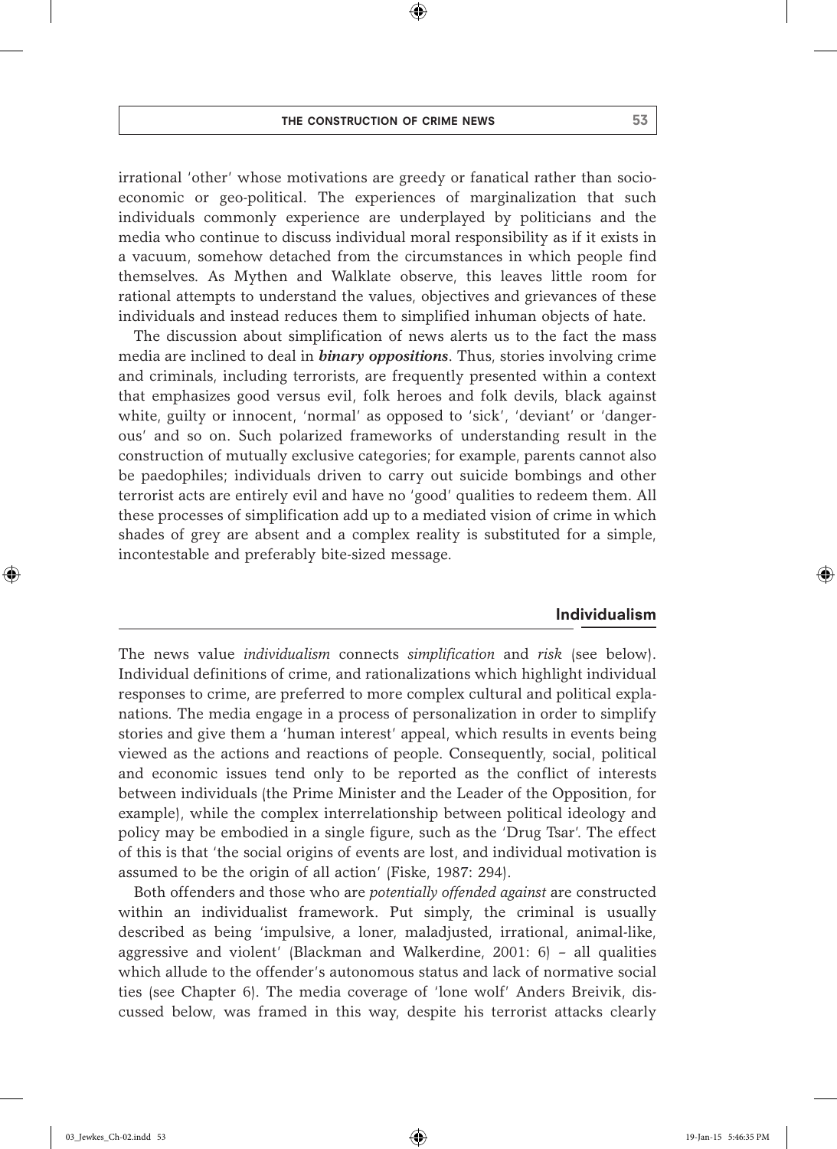⊕

irrational 'other' whose motivations are greedy or fanatical rather than socioeconomic or geo-political. The experiences of marginalization that such individuals commonly experience are underplayed by politicians and the media who continue to discuss individual moral responsibility as if it exists in a vacuum, somehow detached from the circumstances in which people find themselves. As Mythen and Walklate observe, this leaves little room for rational attempts to understand the values, objectives and grievances of these individuals and instead reduces them to simplified inhuman objects of hate.

The discussion about simplification of news alerts us to the fact the mass media are inclined to deal in *binary oppositions*. Thus, stories involving crime and criminals, including terrorists, are frequently presented within a context that emphasizes good versus evil, folk heroes and folk devils, black against white, guilty or innocent, 'normal' as opposed to 'sick', 'deviant' or 'dangerous' and so on. Such polarized frameworks of understanding result in the construction of mutually exclusive categories; for example, parents cannot also be paedophiles; individuals driven to carry out suicide bombings and other terrorist acts are entirely evil and have no 'good' qualities to redeem them. All these processes of simplification add up to a mediated vision of crime in which shades of grey are absent and a complex reality is substituted for a simple, incontestable and preferably bite-sized message.

# Individualism

The news value *individualism* connects *simplification* and *risk* (see below). Individual definitions of crime, and rationalizations which highlight individual responses to crime, are preferred to more complex cultural and political explanations. The media engage in a process of personalization in order to simplify stories and give them a 'human interest' appeal, which results in events being viewed as the actions and reactions of people. Consequently, social, political and economic issues tend only to be reported as the conflict of interests between individuals (the Prime Minister and the Leader of the Opposition, for example), while the complex interrelationship between political ideology and policy may be embodied in a single figure, such as the 'Drug Tsar'. The effect of this is that 'the social origins of events are lost, and individual motivation is assumed to be the origin of all action' (Fiske, 1987: 294).

Both offenders and those who are *potentially offended against* are constructed within an individualist framework. Put simply, the criminal is usually described as being 'impulsive, a loner, maladjusted, irrational, animal-like, aggressive and violent' (Blackman and Walkerdine, 2001: 6) – all qualities which allude to the offender's autonomous status and lack of normative social ties (see Chapter 6). The media coverage of 'lone wolf' Anders Breivik, discussed below, was framed in this way, despite his terrorist attacks clearly

♠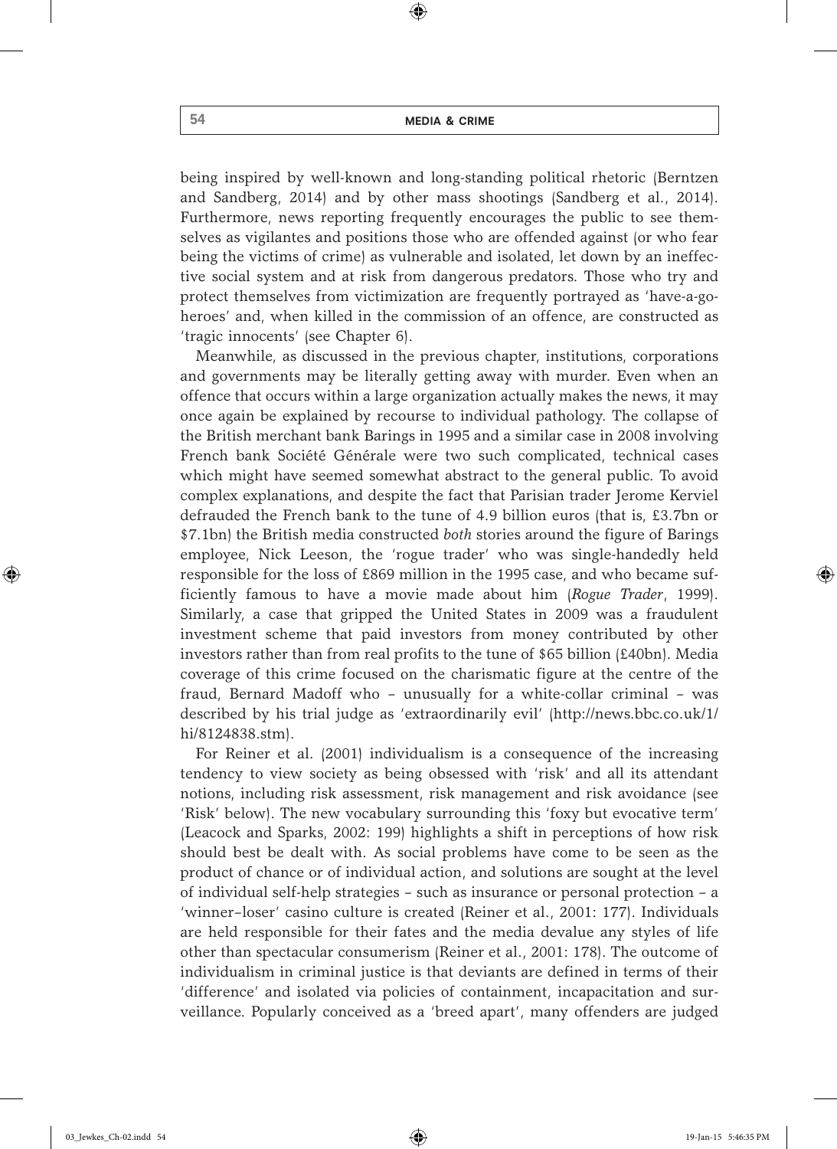$\textcircled{\scriptsize{*}}$ 

being inspired by well-known and long-standing political rhetoric (Berntzen and Sandberg, 2014) and by other mass shootings (Sandberg et al., 2014). Furthermore, news reporting frequently encourages the public to see themselves as vigilantes and positions those who are offended against (or who fear being the victims of crime) as vulnerable and isolated, let down by an ineffective social system and at risk from dangerous predators. Those who try and protect themselves from victimization are frequently portrayed as 'have-a-goheroes' and, when killed in the commission of an offence, are constructed as 'tragic innocents' (see Chapter 6).

Meanwhile, as discussed in the previous chapter, institutions, corporations and governments may be literally getting away with murder. Even when an offence that occurs within a large organization actually makes the news, it may once again be explained by recourse to individual pathology. The collapse of the British merchant bank Barings in 1995 and a similar case in 2008 involving French bank Société Générale were two such complicated, technical cases which might have seemed somewhat abstract to the general public. To avoid complex explanations, and despite the fact that Parisian trader Jerome Kerviel defrauded the French bank to the tune of 4.9 billion euros (that is, £3.7bn or \$7.1bn) the British media constructed *both* stories around the figure of Barings employee, Nick Leeson, the 'rogue trader' who was single-handedly held responsible for the loss of £869 million in the 1995 case, and who became sufficiently famous to have a movie made about him (*Rogue Trader*, 1999). Similarly, a case that gripped the United States in 2009 was a fraudulent investment scheme that paid investors from money contributed by other investors rather than from real profits to the tune of \$65 billion (£40bn). Media coverage of this crime focused on the charismatic figure at the centre of the fraud, Bernard Madoff who – unusually for a white-collar criminal – was described by his trial judge as 'extraordinarily evil' (http://news.bbc.co.uk/1/ hi/8124838.stm).

For Reiner et al. (2001) individualism is a consequence of the increasing tendency to view society as being obsessed with 'risk' and all its attendant notions, including risk assessment, risk management and risk avoidance (see 'Risk' below). The new vocabulary surrounding this 'foxy but evocative term' (Leacock and Sparks, 2002: 199) highlights a shift in perceptions of how risk should best be dealt with. As social problems have come to be seen as the product of chance or of individual action, and solutions are sought at the level of individual self-help strategies – such as insurance or personal protection – a 'winner–loser' casino culture is created (Reiner et al., 2001: 177). Individuals are held responsible for their fates and the media devalue any styles of life other than spectacular consumerism (Reiner et al., 2001: 178). The outcome of individualism in criminal justice is that deviants are defined in terms of their 'difference' and isolated via policies of containment, incapacitation and surveillance. Popularly conceived as a 'breed apart', many offenders are judged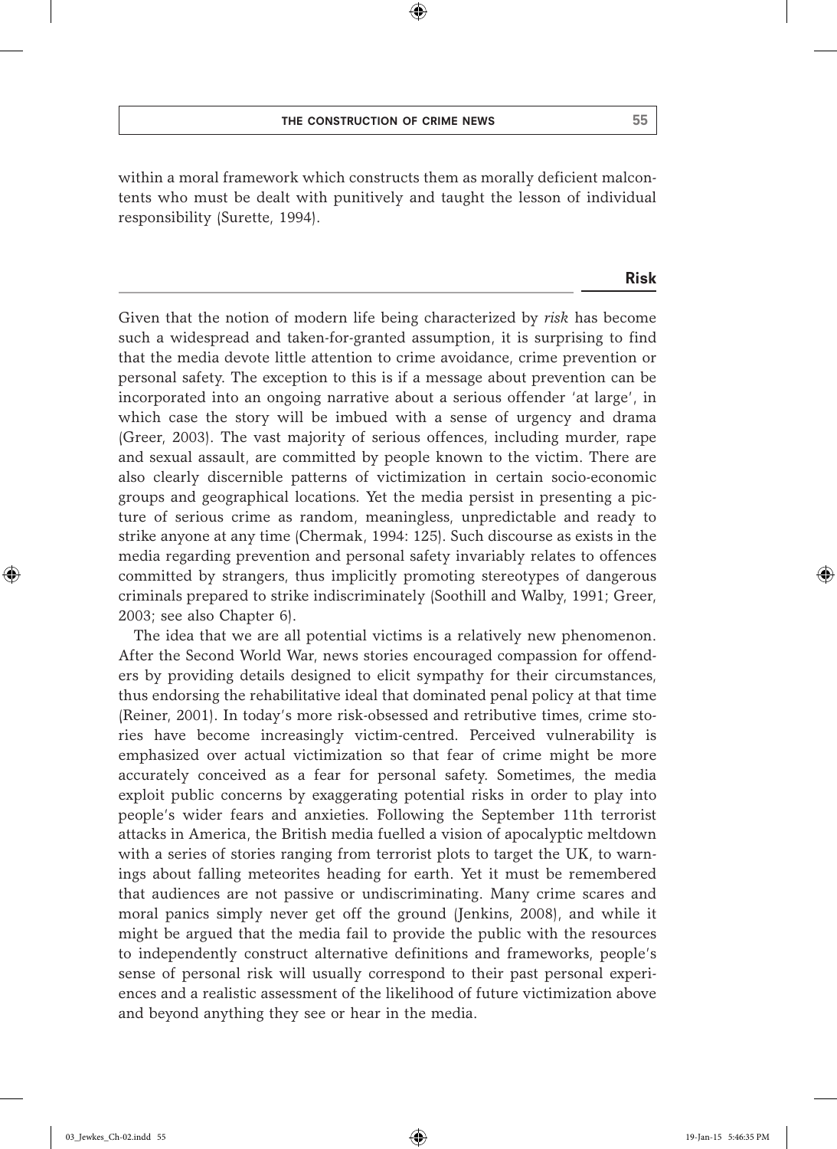⊕

within a moral framework which constructs them as morally deficient malcontents who must be dealt with punitively and taught the lesson of individual responsibility (Surette, 1994).

#### Risk

Given that the notion of modern life being characterized by *risk* has become such a widespread and taken-for-granted assumption, it is surprising to find that the media devote little attention to crime avoidance, crime prevention or personal safety. The exception to this is if a message about prevention can be incorporated into an ongoing narrative about a serious offender 'at large', in which case the story will be imbued with a sense of urgency and drama (Greer, 2003). The vast majority of serious offences, including murder, rape and sexual assault, are committed by people known to the victim. There are also clearly discernible patterns of victimization in certain socio-economic groups and geographical locations. Yet the media persist in presenting a picture of serious crime as random, meaningless, unpredictable and ready to strike anyone at any time (Chermak, 1994: 125). Such discourse as exists in the media regarding prevention and personal safety invariably relates to offences committed by strangers, thus implicitly promoting stereotypes of dangerous criminals prepared to strike indiscriminately (Soothill and Walby, 1991; Greer, 2003; see also Chapter 6).

The idea that we are all potential victims is a relatively new phenomenon. After the Second World War, news stories encouraged compassion for offenders by providing details designed to elicit sympathy for their circumstances, thus endorsing the rehabilitative ideal that dominated penal policy at that time (Reiner, 2001). In today's more risk-obsessed and retributive times, crime stories have become increasingly victim-centred. Perceived vulnerability is emphasized over actual victimization so that fear of crime might be more accurately conceived as a fear for personal safety. Sometimes, the media exploit public concerns by exaggerating potential risks in order to play into people's wider fears and anxieties. Following the September 11th terrorist attacks in America, the British media fuelled a vision of apocalyptic meltdown with a series of stories ranging from terrorist plots to target the UK, to warnings about falling meteorites heading for earth. Yet it must be remembered that audiences are not passive or undiscriminating. Many crime scares and moral panics simply never get off the ground (Jenkins, 2008), and while it might be argued that the media fail to provide the public with the resources to independently construct alternative definitions and frameworks, people's sense of personal risk will usually correspond to their past personal experiences and a realistic assessment of the likelihood of future victimization above and beyond anything they see or hear in the media.

♠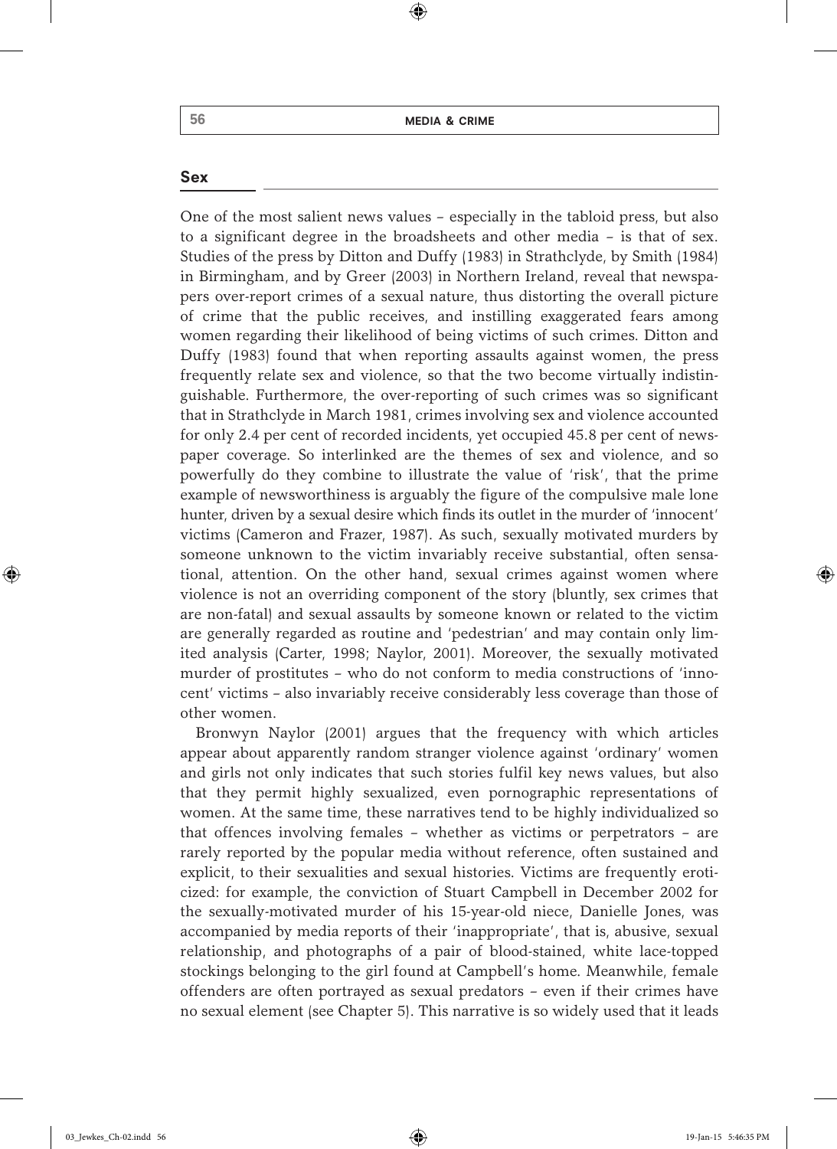56 media & crime

 $\textcircled{\scriptsize{*}}$ 

# Sex

One of the most salient news values – especially in the tabloid press, but also to a significant degree in the broadsheets and other media – is that of sex. Studies of the press by Ditton and Duffy (1983) in Strathclyde, by Smith (1984) in Birmingham, and by Greer (2003) in Northern Ireland, reveal that newspapers over-report crimes of a sexual nature, thus distorting the overall picture of crime that the public receives, and instilling exaggerated fears among women regarding their likelihood of being victims of such crimes. Ditton and Duffy (1983) found that when reporting assaults against women, the press frequently relate sex and violence, so that the two become virtually indistinguishable. Furthermore, the over-reporting of such crimes was so significant that in Strathclyde in March 1981, crimes involving sex and violence accounted for only 2.4 per cent of recorded incidents, yet occupied 45.8 per cent of newspaper coverage. So interlinked are the themes of sex and violence, and so powerfully do they combine to illustrate the value of 'risk', that the prime example of newsworthiness is arguably the figure of the compulsive male lone hunter, driven by a sexual desire which finds its outlet in the murder of 'innocent' victims (Cameron and Frazer, 1987). As such, sexually motivated murders by someone unknown to the victim invariably receive substantial, often sensational, attention. On the other hand, sexual crimes against women where violence is not an overriding component of the story (bluntly, sex crimes that are non-fatal) and sexual assaults by someone known or related to the victim are generally regarded as routine and 'pedestrian' and may contain only limited analysis (Carter, 1998; Naylor, 2001). Moreover, the sexually motivated murder of prostitutes – who do not conform to media constructions of 'innocent' victims – also invariably receive considerably less coverage than those of other women.

Bronwyn Naylor (2001) argues that the frequency with which articles appear about apparently random stranger violence against 'ordinary' women and girls not only indicates that such stories fulfil key news values, but also that they permit highly sexualized, even pornographic representations of women. At the same time, these narratives tend to be highly individualized so that offences involving females – whether as victims or perpetrators – are rarely reported by the popular media without reference, often sustained and explicit, to their sexualities and sexual histories. Victims are frequently eroticized: for example, the conviction of Stuart Campbell in December 2002 for the sexually-motivated murder of his 15-year-old niece, Danielle Jones, was accompanied by media reports of their 'inappropriate', that is, abusive, sexual relationship, and photographs of a pair of blood-stained, white lace-topped stockings belonging to the girl found at Campbell's home. Meanwhile, female offenders are often portrayed as sexual predators – even if their crimes have no sexual element (see Chapter 5). This narrative is so widely used that it leads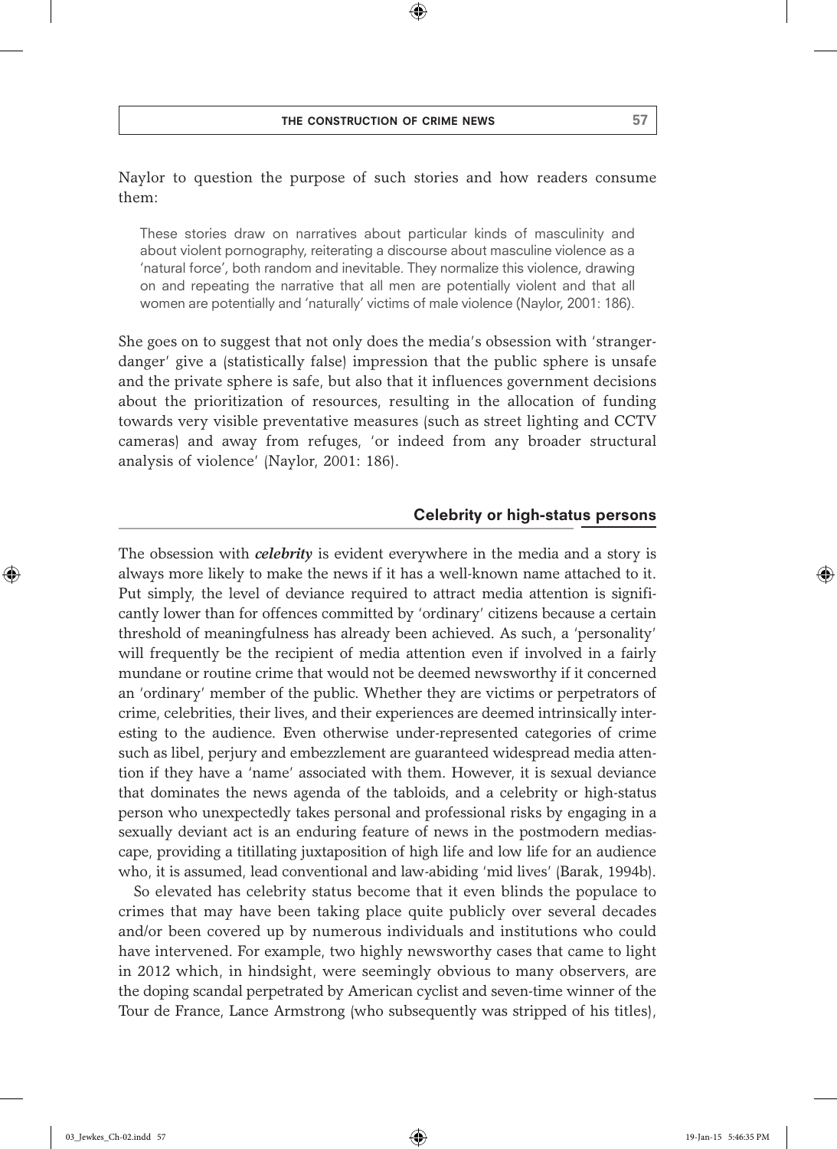⊕

Naylor to question the purpose of such stories and how readers consume them:

These stories draw on narratives about particular kinds of masculinity and about violent pornography, reiterating a discourse about masculine violence as a 'natural force', both random and inevitable. They normalize this violence, drawing on and repeating the narrative that all men are potentially violent and that all women are potentially and 'naturally' victims of male violence (Naylor, 2001: 186).

She goes on to suggest that not only does the media's obsession with 'strangerdanger' give a (statistically false) impression that the public sphere is unsafe and the private sphere is safe, but also that it influences government decisions about the prioritization of resources, resulting in the allocation of funding towards very visible preventative measures (such as street lighting and CCTV cameras) and away from refuges, 'or indeed from any broader structural analysis of violence' (Naylor, 2001: 186).

#### Celebrity or high-status persons

The obsession with *celebrity* is evident everywhere in the media and a story is always more likely to make the news if it has a well-known name attached to it. Put simply, the level of deviance required to attract media attention is significantly lower than for offences committed by 'ordinary' citizens because a certain threshold of meaningfulness has already been achieved. As such, a 'personality' will frequently be the recipient of media attention even if involved in a fairly mundane or routine crime that would not be deemed newsworthy if it concerned an 'ordinary' member of the public. Whether they are victims or perpetrators of crime, celebrities, their lives, and their experiences are deemed intrinsically interesting to the audience. Even otherwise under-represented categories of crime such as libel, perjury and embezzlement are guaranteed widespread media attention if they have a 'name' associated with them. However, it is sexual deviance that dominates the news agenda of the tabloids, and a celebrity or high-status person who unexpectedly takes personal and professional risks by engaging in a sexually deviant act is an enduring feature of news in the postmodern mediascape, providing a titillating juxtaposition of high life and low life for an audience who, it is assumed, lead conventional and law-abiding 'mid lives' (Barak, 1994b).

So elevated has celebrity status become that it even blinds the populace to crimes that may have been taking place quite publicly over several decades and/or been covered up by numerous individuals and institutions who could have intervened. For example, two highly newsworthy cases that came to light in 2012 which, in hindsight, were seemingly obvious to many observers, are the doping scandal perpetrated by American cyclist and seven-time winner of the Tour de France, Lance Armstrong (who subsequently was stripped of his titles),

♠

 $\Leftrightarrow$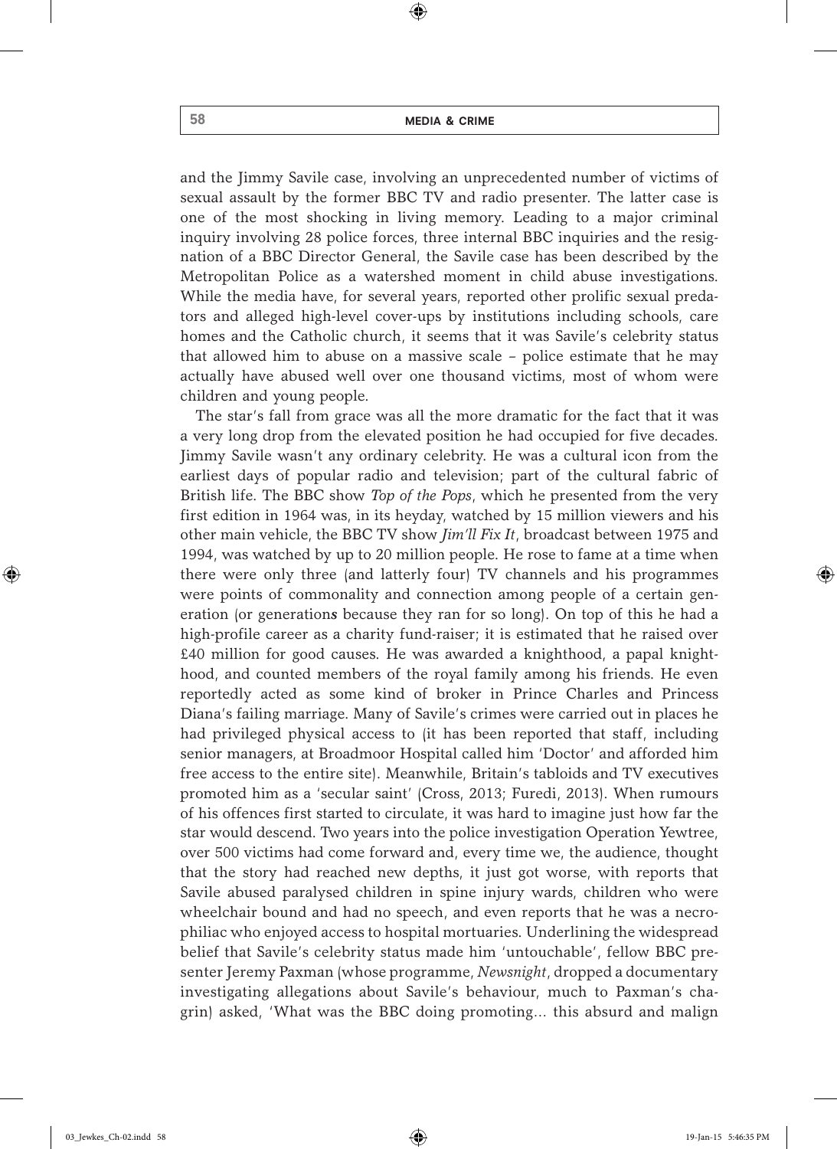#### 58 media & crime

 $\textcircled{\scriptsize{*}}$ 

and the Jimmy Savile case, involving an unprecedented number of victims of sexual assault by the former BBC TV and radio presenter. The latter case is one of the most shocking in living memory. Leading to a major criminal inquiry involving 28 police forces, three internal BBC inquiries and the resignation of a BBC Director General, the Savile case has been described by the Metropolitan Police as a watershed moment in child abuse investigations. While the media have, for several years, reported other prolific sexual predators and alleged high-level cover-ups by institutions including schools, care homes and the Catholic church, it seems that it was Savile's celebrity status that allowed him to abuse on a massive scale – police estimate that he may actually have abused well over one thousand victims, most of whom were children and young people.

The star's fall from grace was all the more dramatic for the fact that it was a very long drop from the elevated position he had occupied for five decades. Jimmy Savile wasn't any ordinary celebrity. He was a cultural icon from the earliest days of popular radio and television; part of the cultural fabric of British life. The BBC show *Top of the Pops*, which he presented from the very first edition in 1964 was, in its heyday, watched by 15 million viewers and his other main vehicle, the BBC TV show *Jim'll Fix It*, broadcast between 1975 and 1994, was watched by up to 20 million people. He rose to fame at a time when there were only three (and latterly four) TV channels and his programmes were points of commonality and connection among people of a certain generation (or generation*s* because they ran for so long). On top of this he had a high-profile career as a charity fund-raiser; it is estimated that he raised over £40 million for good causes. He was awarded a knighthood, a papal knighthood, and counted members of the royal family among his friends. He even reportedly acted as some kind of broker in Prince Charles and Princess Diana's failing marriage. Many of Savile's crimes were carried out in places he had privileged physical access to (it has been reported that staff, including senior managers, at Broadmoor Hospital called him 'Doctor' and afforded him free access to the entire site). Meanwhile, Britain's tabloids and TV executives promoted him as a 'secular saint' (Cross, 2013; Furedi, 2013). When rumours of his offences first started to circulate, it was hard to imagine just how far the star would descend. Two years into the police investigation Operation Yewtree, over 500 victims had come forward and, every time we, the audience, thought that the story had reached new depths, it just got worse, with reports that Savile abused paralysed children in spine injury wards, children who were wheelchair bound and had no speech, and even reports that he was a necrophiliac who enjoyed access to hospital mortuaries. Underlining the widespread belief that Savile's celebrity status made him 'untouchable', fellow BBC presenter Jeremy Paxman (whose programme, *Newsnight*, dropped a documentary investigating allegations about Savile's behaviour, much to Paxman's chagrin) asked, 'What was the BBC doing promoting… this absurd and malign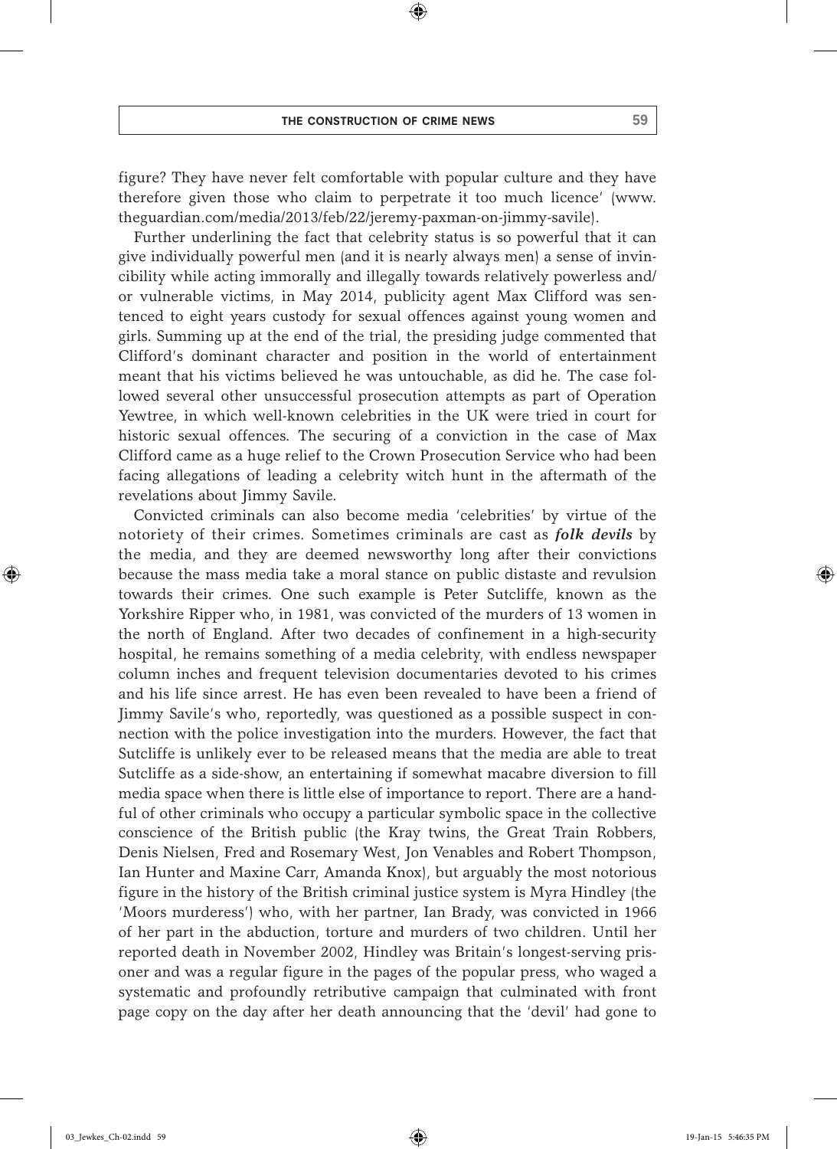⊕

figure? They have never felt comfortable with popular culture and they have therefore given those who claim to perpetrate it too much licence' (www. theguardian.com/media/2013/feb/22/jeremy-paxman-on-jimmy-savile).

Further underlining the fact that celebrity status is so powerful that it can give individually powerful men (and it is nearly always men) a sense of invincibility while acting immorally and illegally towards relatively powerless and/ or vulnerable victims, in May 2014, publicity agent Max Clifford was sentenced to eight years custody for sexual offences against young women and girls. Summing up at the end of the trial, the presiding judge commented that Clifford's dominant character and position in the world of entertainment meant that his victims believed he was untouchable, as did he. The case followed several other unsuccessful prosecution attempts as part of Operation Yewtree, in which well-known celebrities in the UK were tried in court for historic sexual offences. The securing of a conviction in the case of Max Clifford came as a huge relief to the Crown Prosecution Service who had been facing allegations of leading a celebrity witch hunt in the aftermath of the revelations about Jimmy Savile.

Convicted criminals can also become media 'celebrities' by virtue of the notoriety of their crimes. Sometimes criminals are cast as *folk devils* by the media, and they are deemed newsworthy long after their convictions because the mass media take a moral stance on public distaste and revulsion towards their crimes. One such example is Peter Sutcliffe, known as the Yorkshire Ripper who, in 1981, was convicted of the murders of 13 women in the north of England. After two decades of confinement in a high-security hospital, he remains something of a media celebrity, with endless newspaper column inches and frequent television documentaries devoted to his crimes and his life since arrest. He has even been revealed to have been a friend of Jimmy Savile's who, reportedly, was questioned as a possible suspect in connection with the police investigation into the murders. However, the fact that Sutcliffe is unlikely ever to be released means that the media are able to treat Sutcliffe as a side-show, an entertaining if somewhat macabre diversion to fill media space when there is little else of importance to report. There are a handful of other criminals who occupy a particular symbolic space in the collective conscience of the British public (the Kray twins, the Great Train Robbers, Denis Nielsen, Fred and Rosemary West, Jon Venables and Robert Thompson, Ian Hunter and Maxine Carr, Amanda Knox), but arguably the most notorious figure in the history of the British criminal justice system is Myra Hindley (the 'Moors murderess') who, with her partner, Ian Brady, was convicted in 1966 of her part in the abduction, torture and murders of two children. Until her reported death in November 2002, Hindley was Britain's longest-serving prisoner and was a regular figure in the pages of the popular press, who waged a systematic and profoundly retributive campaign that culminated with front page copy on the day after her death announcing that the 'devil' had gone to

♠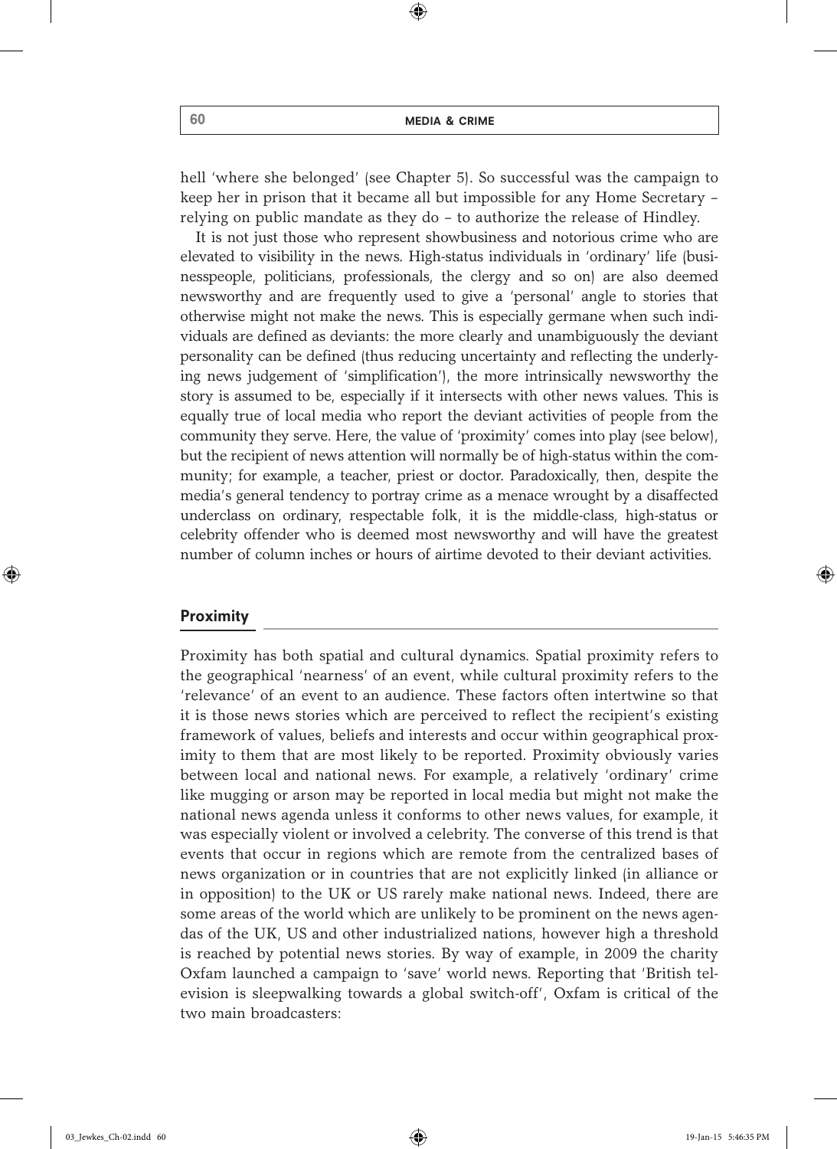$\textcircled{\scriptsize{*}}$ 

hell 'where she belonged' (see Chapter 5). So successful was the campaign to keep her in prison that it became all but impossible for any Home Secretary – relying on public mandate as they do – to authorize the release of Hindley.

It is not just those who represent showbusiness and notorious crime who are elevated to visibility in the news. High-status individuals in 'ordinary' life (businesspeople, politicians, professionals, the clergy and so on) are also deemed newsworthy and are frequently used to give a 'personal' angle to stories that otherwise might not make the news. This is especially germane when such individuals are defined as deviants: the more clearly and unambiguously the deviant personality can be defined (thus reducing uncertainty and reflecting the underlying news judgement of 'simplification'), the more intrinsically newsworthy the story is assumed to be, especially if it intersects with other news values. This is equally true of local media who report the deviant activities of people from the community they serve. Here, the value of 'proximity' comes into play (see below), but the recipient of news attention will normally be of high-status within the community; for example, a teacher, priest or doctor. Paradoxically, then, despite the media's general tendency to portray crime as a menace wrought by a disaffected underclass on ordinary, respectable folk, it is the middle-class, high-status or celebrity offender who is deemed most newsworthy and will have the greatest number of column inches or hours of airtime devoted to their deviant activities.

### Proximity

♠

Proximity has both spatial and cultural dynamics. Spatial proximity refers to the geographical 'nearness' of an event, while cultural proximity refers to the 'relevance' of an event to an audience. These factors often intertwine so that it is those news stories which are perceived to reflect the recipient's existing framework of values, beliefs and interests and occur within geographical proximity to them that are most likely to be reported. Proximity obviously varies between local and national news. For example, a relatively 'ordinary' crime like mugging or arson may be reported in local media but might not make the national news agenda unless it conforms to other news values, for example, it was especially violent or involved a celebrity. The converse of this trend is that events that occur in regions which are remote from the centralized bases of news organization or in countries that are not explicitly linked (in alliance or in opposition) to the UK or US rarely make national news. Indeed, there are some areas of the world which are unlikely to be prominent on the news agendas of the UK, US and other industrialized nations, however high a threshold is reached by potential news stories. By way of example, in 2009 the charity Oxfam launched a campaign to 'save' world news. Reporting that 'British television is sleepwalking towards a global switch-off', Oxfam is critical of the two main broadcasters: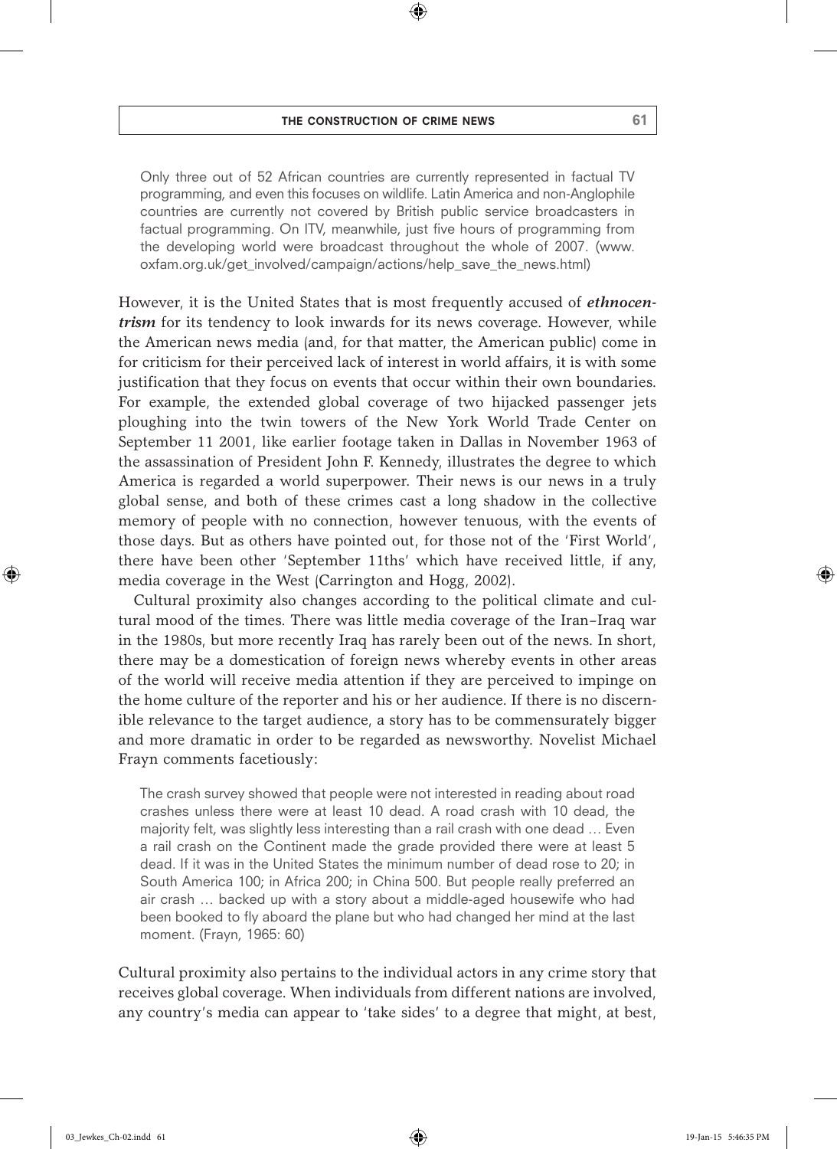⊕

Only three out of 52 African countries are currently represented in factual TV programming, and even this focuses on wildlife. Latin America and non-Anglophile countries are currently not covered by British public service broadcasters in factual programming. On ITV, meanwhile, just five hours of programming from the developing world were broadcast throughout the whole of 2007. (www. oxfam.org.uk/get\_involved/campaign/actions/help\_save\_the\_news.html)

However, it is the United States that is most frequently accused of *ethnocentrism* for its tendency to look inwards for its news coverage. However, while the American news media (and, for that matter, the American public) come in for criticism for their perceived lack of interest in world affairs, it is with some justification that they focus on events that occur within their own boundaries. For example, the extended global coverage of two hijacked passenger jets ploughing into the twin towers of the New York World Trade Center on September 11 2001, like earlier footage taken in Dallas in November 1963 of the assassination of President John F. Kennedy, illustrates the degree to which America is regarded a world superpower. Their news is our news in a truly global sense, and both of these crimes cast a long shadow in the collective memory of people with no connection, however tenuous, with the events of those days. But as others have pointed out, for those not of the 'First World', there have been other 'September 11ths' which have received little, if any, media coverage in the West (Carrington and Hogg, 2002).

Cultural proximity also changes according to the political climate and cultural mood of the times. There was little media coverage of the Iran–Iraq war in the 1980s, but more recently Iraq has rarely been out of the news. In short, there may be a domestication of foreign news whereby events in other areas of the world will receive media attention if they are perceived to impinge on the home culture of the reporter and his or her audience. If there is no discernible relevance to the target audience, a story has to be commensurately bigger and more dramatic in order to be regarded as newsworthy. Novelist Michael Frayn comments facetiously:

The crash survey showed that people were not interested in reading about road crashes unless there were at least 10 dead. A road crash with 10 dead, the majority felt, was slightly less interesting than a rail crash with one dead … Even a rail crash on the Continent made the grade provided there were at least 5 dead. If it was in the United States the minimum number of dead rose to 20; in South America 100; in Africa 200; in China 500. But people really preferred an air crash … backed up with a story about a middle-aged housewife who had been booked to fly aboard the plane but who had changed her mind at the last moment. (Frayn, 1965: 60)

Cultural proximity also pertains to the individual actors in any crime story that receives global coverage. When individuals from different nations are involved, any country's media can appear to 'take sides' to a degree that might, at best,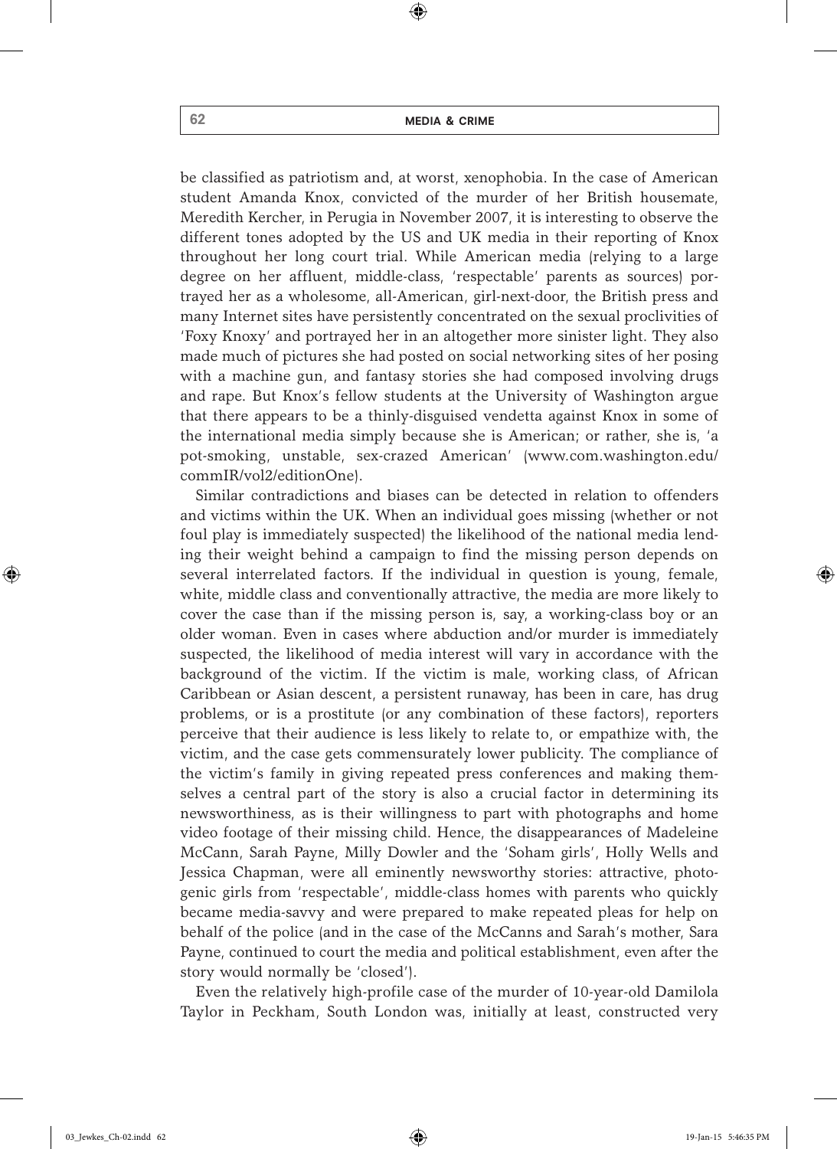$\textcircled{\scriptsize{*}}$ 

be classified as patriotism and, at worst, xenophobia. In the case of American student Amanda Knox, convicted of the murder of her British housemate, Meredith Kercher, in Perugia in November 2007, it is interesting to observe the different tones adopted by the US and UK media in their reporting of Knox throughout her long court trial. While American media (relying to a large degree on her affluent, middle-class, 'respectable' parents as sources) portrayed her as a wholesome, all-American, girl-next-door, the British press and many Internet sites have persistently concentrated on the sexual proclivities of 'Foxy Knoxy' and portrayed her in an altogether more sinister light. They also made much of pictures she had posted on social networking sites of her posing with a machine gun, and fantasy stories she had composed involving drugs and rape. But Knox's fellow students at the University of Washington argue that there appears to be a thinly-disguised vendetta against Knox in some of the international media simply because she is American; or rather, she is, 'a pot-smoking, unstable, sex-crazed American' (www.com.washington.edu/ commIR/vol2/editionOne).

Similar contradictions and biases can be detected in relation to offenders and victims within the UK. When an individual goes missing (whether or not foul play is immediately suspected) the likelihood of the national media lending their weight behind a campaign to find the missing person depends on several interrelated factors. If the individual in question is young, female, white, middle class and conventionally attractive, the media are more likely to cover the case than if the missing person is, say, a working-class boy or an older woman. Even in cases where abduction and/or murder is immediately suspected, the likelihood of media interest will vary in accordance with the background of the victim. If the victim is male, working class, of African Caribbean or Asian descent, a persistent runaway, has been in care, has drug problems, or is a prostitute (or any combination of these factors), reporters perceive that their audience is less likely to relate to, or empathize with, the victim, and the case gets commensurately lower publicity. The compliance of the victim's family in giving repeated press conferences and making themselves a central part of the story is also a crucial factor in determining its newsworthiness, as is their willingness to part with photographs and home video footage of their missing child. Hence, the disappearances of Madeleine McCann, Sarah Payne, Milly Dowler and the 'Soham girls', Holly Wells and Jessica Chapman, were all eminently newsworthy stories: attractive, photogenic girls from 'respectable', middle-class homes with parents who quickly became media-savvy and were prepared to make repeated pleas for help on behalf of the police (and in the case of the McCanns and Sarah's mother, Sara Payne, continued to court the media and political establishment, even after the story would normally be 'closed').

Even the relatively high-profile case of the murder of 10-year-old Damilola Taylor in Peckham, South London was, initially at least, constructed very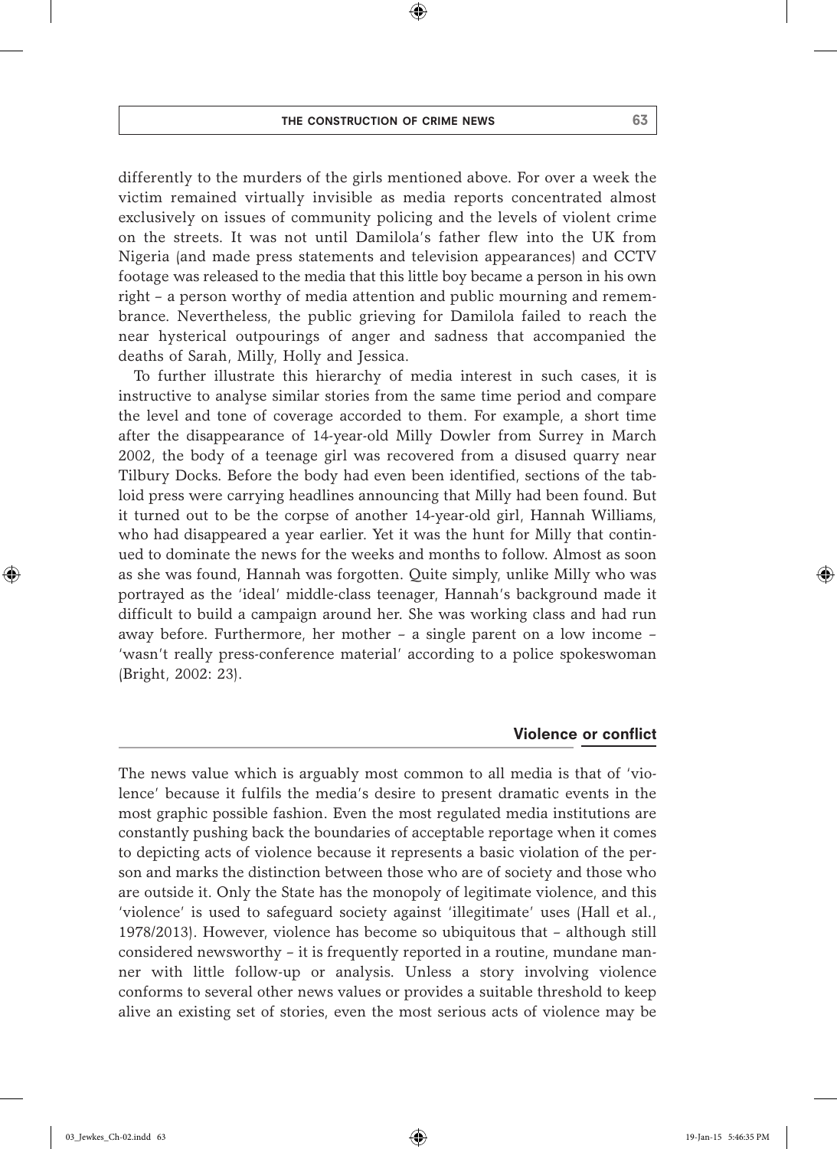⊕

differently to the murders of the girls mentioned above. For over a week the victim remained virtually invisible as media reports concentrated almost exclusively on issues of community policing and the levels of violent crime on the streets. It was not until Damilola's father flew into the UK from Nigeria (and made press statements and television appearances) and CCTV footage was released to the media that this little boy became a person in his own right – a person worthy of media attention and public mourning and remembrance. Nevertheless, the public grieving for Damilola failed to reach the near hysterical outpourings of anger and sadness that accompanied the deaths of Sarah, Milly, Holly and Jessica.

To further illustrate this hierarchy of media interest in such cases, it is instructive to analyse similar stories from the same time period and compare the level and tone of coverage accorded to them. For example, a short time after the disappearance of 14-year-old Milly Dowler from Surrey in March 2002, the body of a teenage girl was recovered from a disused quarry near Tilbury Docks. Before the body had even been identified, sections of the tabloid press were carrying headlines announcing that Milly had been found. But it turned out to be the corpse of another 14-year-old girl, Hannah Williams, who had disappeared a year earlier. Yet it was the hunt for Milly that continued to dominate the news for the weeks and months to follow. Almost as soon as she was found, Hannah was forgotten. Quite simply, unlike Milly who was portrayed as the 'ideal' middle-class teenager, Hannah's background made it difficult to build a campaign around her. She was working class and had run away before. Furthermore, her mother – a single parent on a low income – 'wasn't really press-conference material' according to a police spokeswoman (Bright, 2002: 23).

# Violence or conflict

The news value which is arguably most common to all media is that of 'violence' because it fulfils the media's desire to present dramatic events in the most graphic possible fashion. Even the most regulated media institutions are constantly pushing back the boundaries of acceptable reportage when it comes to depicting acts of violence because it represents a basic violation of the person and marks the distinction between those who are of society and those who are outside it. Only the State has the monopoly of legitimate violence, and this 'violence' is used to safeguard society against 'illegitimate' uses (Hall et al., 1978/2013). However, violence has become so ubiquitous that – although still considered newsworthy – it is frequently reported in a routine, mundane manner with little follow-up or analysis. Unless a story involving violence conforms to several other news values or provides a suitable threshold to keep alive an existing set of stories, even the most serious acts of violence may be

♠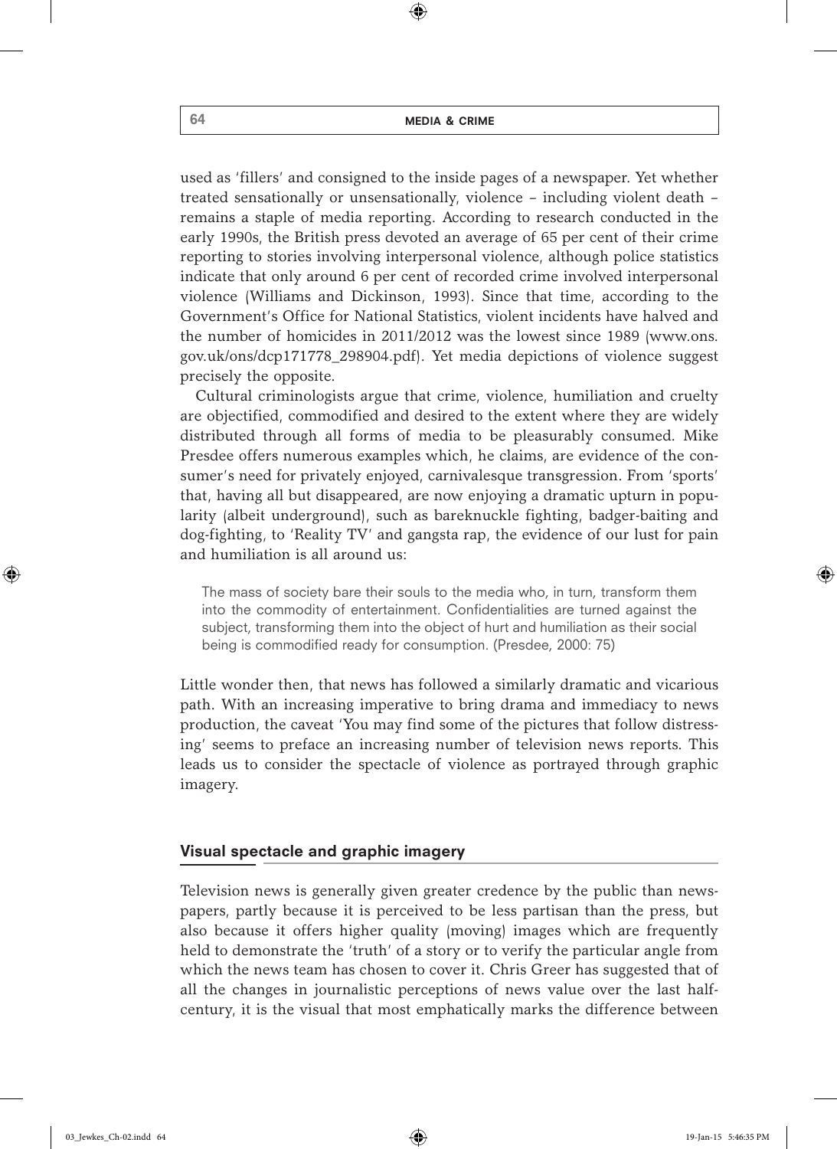$\textcircled{\scriptsize{*}}$ 

used as 'fillers' and consigned to the inside pages of a newspaper. Yet whether treated sensationally or unsensationally, violence – including violent death – remains a staple of media reporting. According to research conducted in the early 1990s, the British press devoted an average of 65 per cent of their crime reporting to stories involving interpersonal violence, although police statistics indicate that only around 6 per cent of recorded crime involved interpersonal violence (Williams and Dickinson, 1993). Since that time, according to the Government's Office for National Statistics, violent incidents have halved and the number of homicides in 2011/2012 was the lowest since 1989 (www.ons. gov.uk/ons/dcp171778\_298904.pdf). Yet media depictions of violence suggest precisely the opposite.

Cultural criminologists argue that crime, violence, humiliation and cruelty are objectified, commodified and desired to the extent where they are widely distributed through all forms of media to be pleasurably consumed. Mike Presdee offers numerous examples which, he claims, are evidence of the consumer's need for privately enjoyed, carnivalesque transgression. From 'sports' that, having all but disappeared, are now enjoying a dramatic upturn in popularity (albeit underground), such as bareknuckle fighting, badger-baiting and dog-fighting, to 'Reality TV' and gangsta rap, the evidence of our lust for pain and humiliation is all around us:

The mass of society bare their souls to the media who, in turn, transform them into the commodity of entertainment. Confidentialities are turned against the subject, transforming them into the object of hurt and humiliation as their social being is commodified ready for consumption. (Presdee, 2000: 75)

Little wonder then, that news has followed a similarly dramatic and vicarious path. With an increasing imperative to bring drama and immediacy to news production, the caveat 'You may find some of the pictures that follow distressing' seems to preface an increasing number of television news reports. This leads us to consider the spectacle of violence as portrayed through graphic imagery.

# Visual spectacle and graphic imagery

Television news is generally given greater credence by the public than newspapers, partly because it is perceived to be less partisan than the press, but also because it offers higher quality (moving) images which are frequently held to demonstrate the 'truth' of a story or to verify the particular angle from which the news team has chosen to cover it. Chris Greer has suggested that of all the changes in journalistic perceptions of news value over the last halfcentury, it is the visual that most emphatically marks the difference between

♠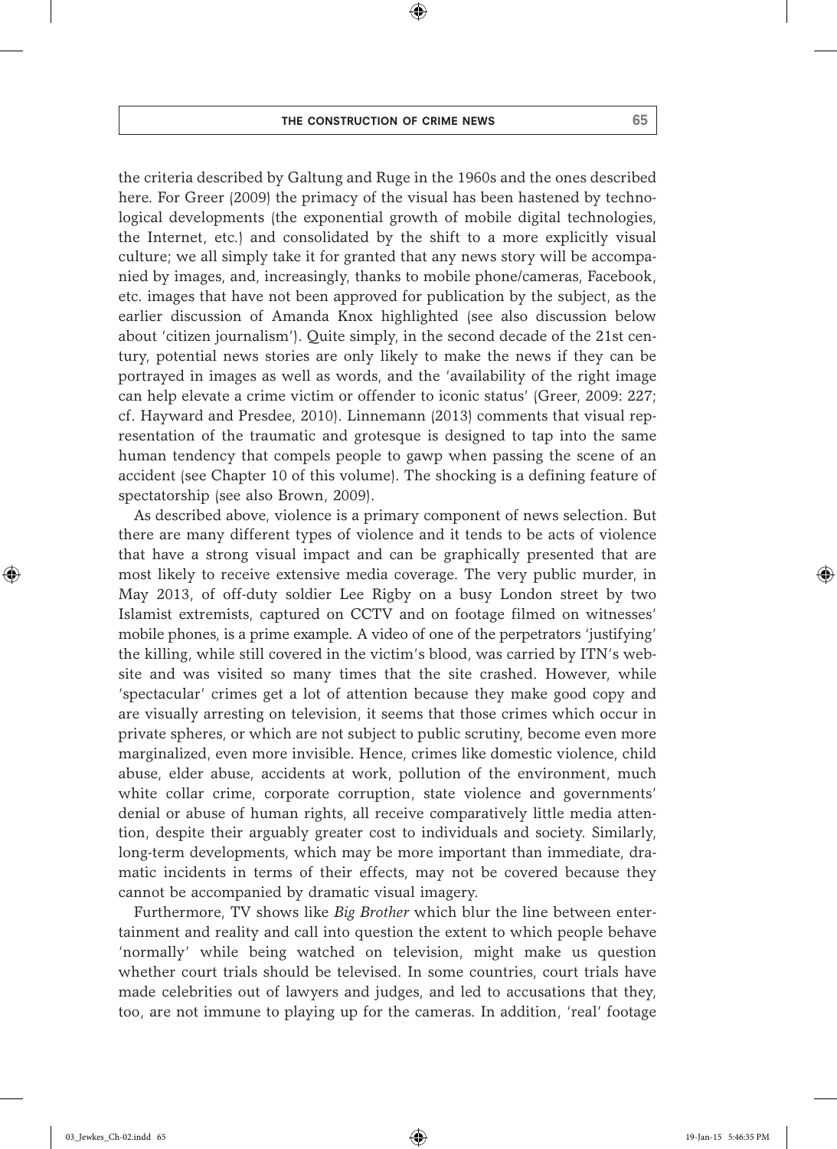## the construction of crime news 65

⊕

the criteria described by Galtung and Ruge in the 1960s and the ones described here. For Greer (2009) the primacy of the visual has been hastened by technological developments (the exponential growth of mobile digital technologies, the Internet, etc.) and consolidated by the shift to a more explicitly visual culture; we all simply take it for granted that any news story will be accompanied by images, and, increasingly, thanks to mobile phone/cameras, Facebook, etc. images that have not been approved for publication by the subject, as the earlier discussion of Amanda Knox highlighted (see also discussion below about 'citizen journalism'). Quite simply, in the second decade of the 21st century, potential news stories are only likely to make the news if they can be portrayed in images as well as words, and the 'availability of the right image can help elevate a crime victim or offender to iconic status' (Greer, 2009: 227; cf. Hayward and Presdee, 2010). Linnemann (2013) comments that visual representation of the traumatic and grotesque is designed to tap into the same human tendency that compels people to gawp when passing the scene of an accident (see Chapter 10 of this volume). The shocking is a defining feature of spectatorship (see also Brown, 2009).

As described above, violence is a primary component of news selection. But there are many different types of violence and it tends to be acts of violence that have a strong visual impact and can be graphically presented that are most likely to receive extensive media coverage. The very public murder, in May 2013, of off-duty soldier Lee Rigby on a busy London street by two Islamist extremists, captured on CCTV and on footage filmed on witnesses' mobile phones, is a prime example. A video of one of the perpetrators 'justifying' the killing, while still covered in the victim's blood, was carried by ITN's website and was visited so many times that the site crashed. However, while 'spectacular' crimes get a lot of attention because they make good copy and are visually arresting on television, it seems that those crimes which occur in private spheres, or which are not subject to public scrutiny, become even more marginalized, even more invisible. Hence, crimes like domestic violence, child abuse, elder abuse, accidents at work, pollution of the environment, much white collar crime, corporate corruption, state violence and governments' denial or abuse of human rights, all receive comparatively little media attention, despite their arguably greater cost to individuals and society. Similarly, long-term developments, which may be more important than immediate, dramatic incidents in terms of their effects, may not be covered because they cannot be accompanied by dramatic visual imagery.

Furthermore, TV shows like *Big Brother* which blur the line between entertainment and reality and call into question the extent to which people behave 'normally' while being watched on television, might make us question whether court trials should be televised. In some countries, court trials have made celebrities out of lawyers and judges, and led to accusations that they, too, are not immune to playing up for the cameras. In addition, 'real' footage

⊕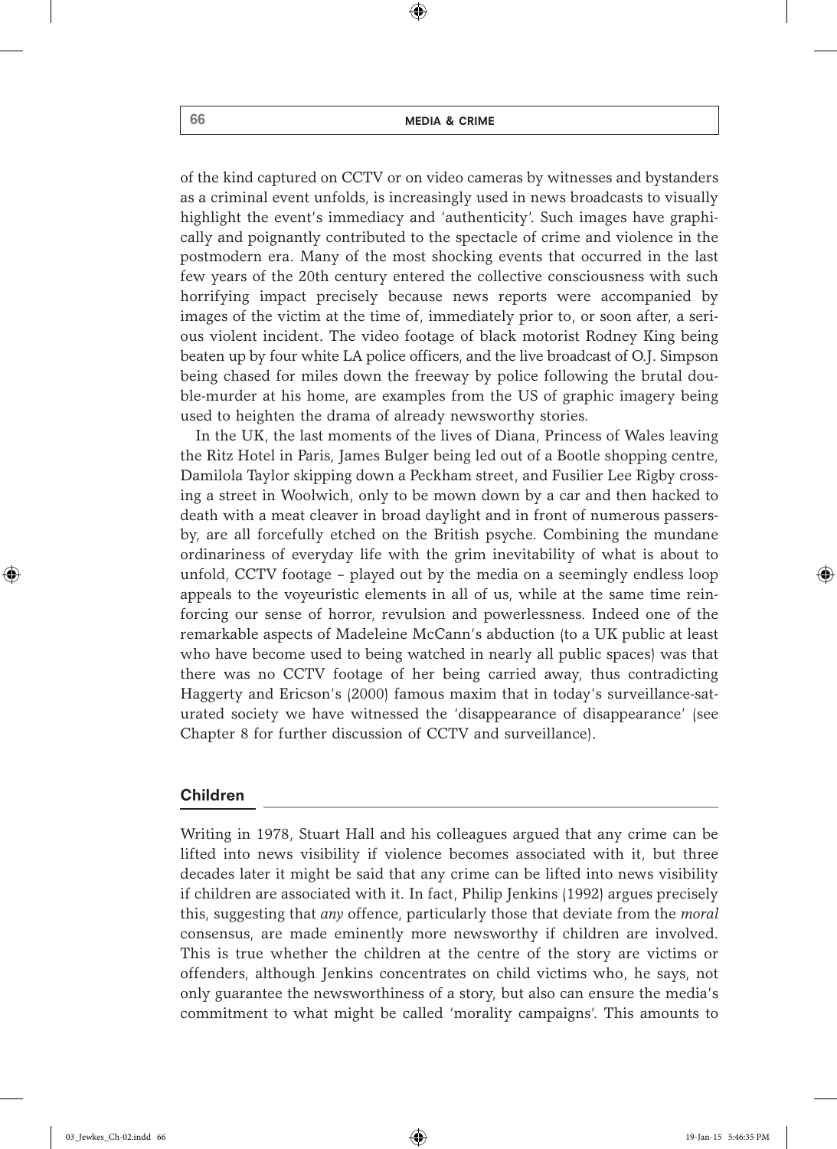$\textcircled{\scriptsize{*}}$ 

of the kind captured on CCTV or on video cameras by witnesses and bystanders as a criminal event unfolds, is increasingly used in news broadcasts to visually highlight the event's immediacy and 'authenticity'. Such images have graphically and poignantly contributed to the spectacle of crime and violence in the postmodern era. Many of the most shocking events that occurred in the last few years of the 20th century entered the collective consciousness with such horrifying impact precisely because news reports were accompanied by images of the victim at the time of, immediately prior to, or soon after, a serious violent incident. The video footage of black motorist Rodney King being beaten up by four white LA police officers, and the live broadcast of O.J. Simpson being chased for miles down the freeway by police following the brutal double-murder at his home, are examples from the US of graphic imagery being used to heighten the drama of already newsworthy stories.

In the UK, the last moments of the lives of Diana, Princess of Wales leaving the Ritz Hotel in Paris, James Bulger being led out of a Bootle shopping centre, Damilola Taylor skipping down a Peckham street, and Fusilier Lee Rigby crossing a street in Woolwich, only to be mown down by a car and then hacked to death with a meat cleaver in broad daylight and in front of numerous passersby, are all forcefully etched on the British psyche. Combining the mundane ordinariness of everyday life with the grim inevitability of what is about to unfold, CCTV footage – played out by the media on a seemingly endless loop appeals to the voyeuristic elements in all of us, while at the same time reinforcing our sense of horror, revulsion and powerlessness. Indeed one of the remarkable aspects of Madeleine McCann's abduction (to a UK public at least who have become used to being watched in nearly all public spaces) was that there was no CCTV footage of her being carried away, thus contradicting Haggerty and Ericson's (2000) famous maxim that in today's surveillance-saturated society we have witnessed the 'disappearance of disappearance' (see Chapter 8 for further discussion of CCTV and surveillance).

#### Children

Writing in 1978, Stuart Hall and his colleagues argued that any crime can be lifted into news visibility if violence becomes associated with it, but three decades later it might be said that any crime can be lifted into news visibility if children are associated with it. In fact, Philip Jenkins (1992) argues precisely this, suggesting that *any* offence, particularly those that deviate from the *moral*  consensus, are made eminently more newsworthy if children are involved. This is true whether the children at the centre of the story are victims or offenders, although Jenkins concentrates on child victims who, he says, not only guarantee the newsworthiness of a story, but also can ensure the media's commitment to what might be called 'morality campaigns'. This amounts to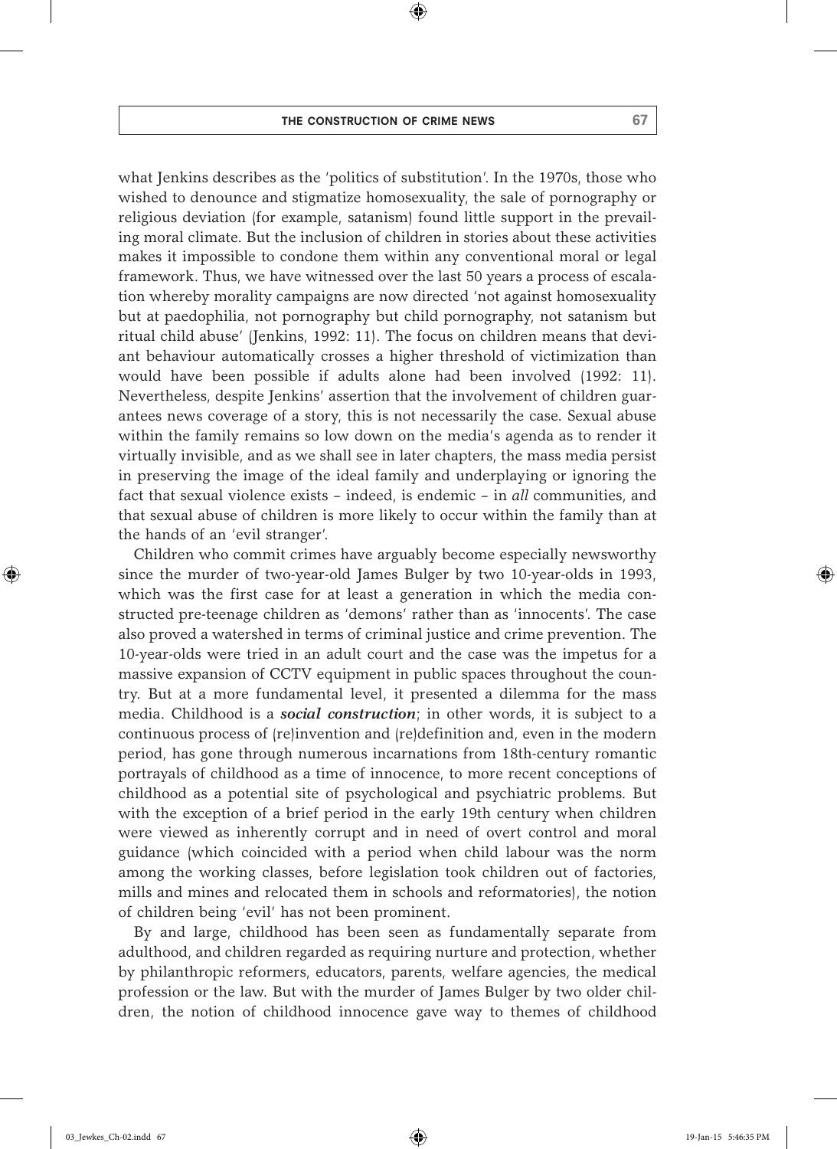⊕

what Jenkins describes as the 'politics of substitution'. In the 1970s, those who wished to denounce and stigmatize homosexuality, the sale of pornography or religious deviation (for example, satanism) found little support in the prevailing moral climate. But the inclusion of children in stories about these activities makes it impossible to condone them within any conventional moral or legal framework. Thus, we have witnessed over the last 50 years a process of escalation whereby morality campaigns are now directed 'not against homosexuality but at paedophilia, not pornography but child pornography, not satanism but ritual child abuse' (Jenkins, 1992: 11). The focus on children means that deviant behaviour automatically crosses a higher threshold of victimization than would have been possible if adults alone had been involved (1992: 11). Nevertheless, despite Jenkins' assertion that the involvement of children guarantees news coverage of a story, this is not necessarily the case. Sexual abuse within the family remains so low down on the media's agenda as to render it virtually invisible, and as we shall see in later chapters, the mass media persist in preserving the image of the ideal family and underplaying or ignoring the fact that sexual violence exists – indeed, is endemic – in *all* communities, and that sexual abuse of children is more likely to occur within the family than at the hands of an 'evil stranger'.

Children who commit crimes have arguably become especially newsworthy since the murder of two-year-old James Bulger by two 10-year-olds in 1993, which was the first case for at least a generation in which the media constructed pre-teenage children as 'demons' rather than as 'innocents'. The case also proved a watershed in terms of criminal justice and crime prevention. The 10-year-olds were tried in an adult court and the case was the impetus for a massive expansion of CCTV equipment in public spaces throughout the country. But at a more fundamental level, it presented a dilemma for the mass media. Childhood is a *social construction*; in other words, it is subject to a continuous process of (re)invention and (re)definition and, even in the modern period, has gone through numerous incarnations from 18th-century romantic portrayals of childhood as a time of innocence, to more recent conceptions of childhood as a potential site of psychological and psychiatric problems. But with the exception of a brief period in the early 19th century when children were viewed as inherently corrupt and in need of overt control and moral guidance (which coincided with a period when child labour was the norm among the working classes, before legislation took children out of factories, mills and mines and relocated them in schools and reformatories), the notion of children being 'evil' has not been prominent.

By and large, childhood has been seen as fundamentally separate from adulthood, and children regarded as requiring nurture and protection, whether by philanthropic reformers, educators, parents, welfare agencies, the medical profession or the law. But with the murder of James Bulger by two older children, the notion of childhood innocence gave way to themes of childhood

♠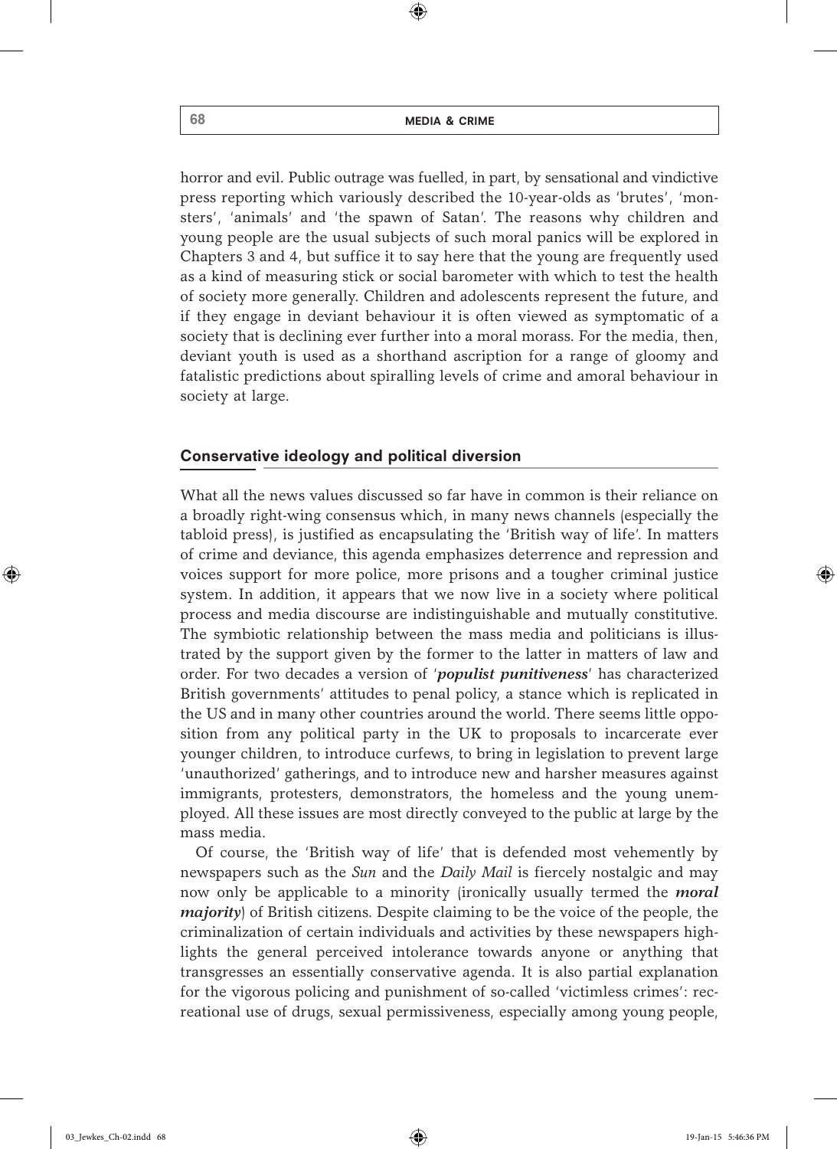$\textcircled{\scriptsize{*}}$ 

horror and evil. Public outrage was fuelled, in part, by sensational and vindictive press reporting which variously described the 10-year-olds as 'brutes', 'monsters', 'animals' and 'the spawn of Satan'. The reasons why children and young people are the usual subjects of such moral panics will be explored in Chapters 3 and 4, but suffice it to say here that the young are frequently used as a kind of measuring stick or social barometer with which to test the health of society more generally. Children and adolescents represent the future, and if they engage in deviant behaviour it is often viewed as symptomatic of a society that is declining ever further into a moral morass. For the media, then, deviant youth is used as a shorthand ascription for a range of gloomy and fatalistic predictions about spiralling levels of crime and amoral behaviour in society at large.

# Conservative ideology and political diversion

What all the news values discussed so far have in common is their reliance on a broadly right-wing consensus which, in many news channels (especially the tabloid press), is justified as encapsulating the 'British way of life'. In matters of crime and deviance, this agenda emphasizes deterrence and repression and voices support for more police, more prisons and a tougher criminal justice system. In addition, it appears that we now live in a society where political process and media discourse are indistinguishable and mutually constitutive. The symbiotic relationship between the mass media and politicians is illustrated by the support given by the former to the latter in matters of law and order. For two decades a version of '*populist punitiveness*' has characterized British governments' attitudes to penal policy, a stance which is replicated in the US and in many other countries around the world. There seems little opposition from any political party in the UK to proposals to incarcerate ever younger children, to introduce curfews, to bring in legislation to prevent large 'unauthorized' gatherings, and to introduce new and harsher measures against immigrants, protesters, demonstrators, the homeless and the young unemployed. All these issues are most directly conveyed to the public at large by the mass media.

Of course, the 'British way of life' that is defended most vehemently by newspapers such as the *Sun* and the *Daily Mail* is fiercely nostalgic and may now only be applicable to a minority (ironically usually termed the *moral majority*) of British citizens. Despite claiming to be the voice of the people, the criminalization of certain individuals and activities by these newspapers highlights the general perceived intolerance towards anyone or anything that transgresses an essentially conservative agenda. It is also partial explanation for the vigorous policing and punishment of so-called 'victimless crimes': recreational use of drugs, sexual permissiveness, especially among young people,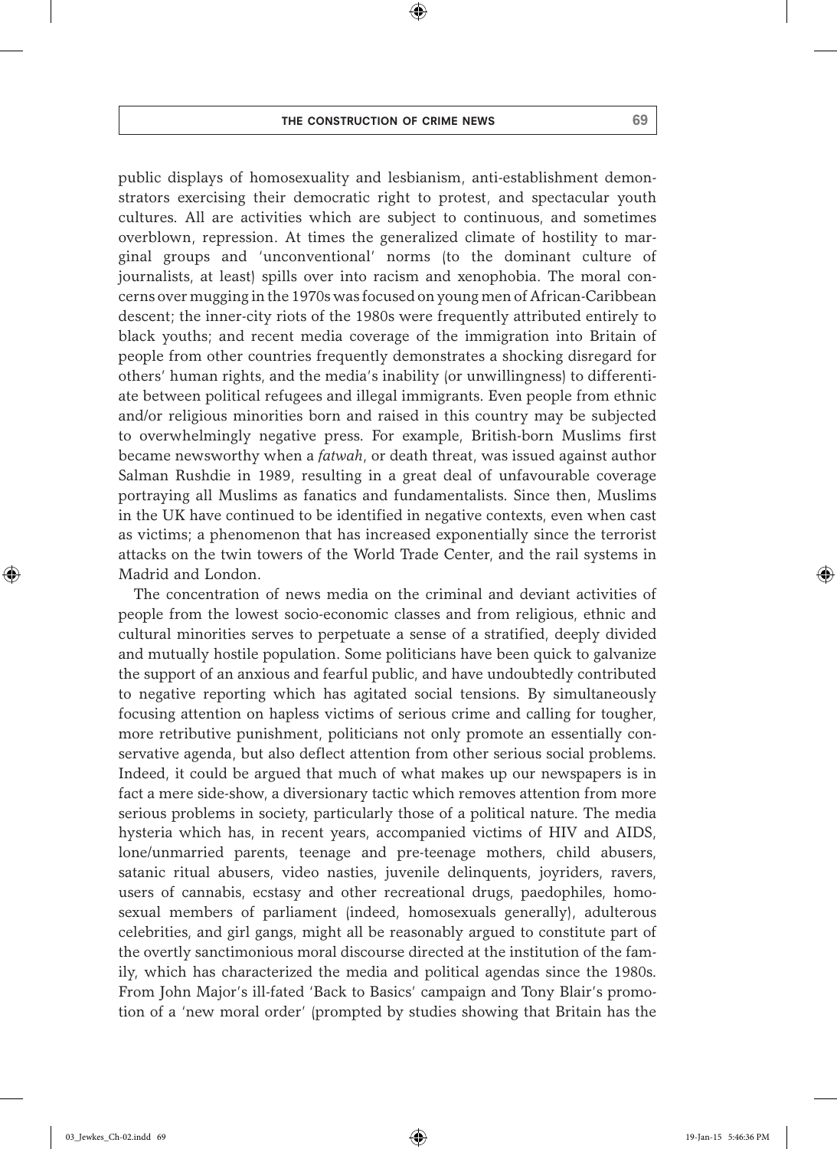⊕

public displays of homosexuality and lesbianism, anti-establishment demonstrators exercising their democratic right to protest, and spectacular youth cultures. All are activities which are subject to continuous, and sometimes overblown, repression. At times the generalized climate of hostility to marginal groups and 'unconventional' norms (to the dominant culture of journalists, at least) spills over into racism and xenophobia. The moral concerns over mugging in the 1970s was focused on young men of African-Caribbean descent; the inner-city riots of the 1980s were frequently attributed entirely to black youths; and recent media coverage of the immigration into Britain of people from other countries frequently demonstrates a shocking disregard for others' human rights, and the media's inability (or unwillingness) to differentiate between political refugees and illegal immigrants. Even people from ethnic and/or religious minorities born and raised in this country may be subjected to overwhelmingly negative press. For example, British-born Muslims first became newsworthy when a *fatwah*, or death threat, was issued against author Salman Rushdie in 1989, resulting in a great deal of unfavourable coverage portraying all Muslims as fanatics and fundamentalists. Since then, Muslims in the UK have continued to be identified in negative contexts, even when cast as victims; a phenomenon that has increased exponentially since the terrorist attacks on the twin towers of the World Trade Center, and the rail systems in Madrid and London.

The concentration of news media on the criminal and deviant activities of people from the lowest socio-economic classes and from religious, ethnic and cultural minorities serves to perpetuate a sense of a stratified, deeply divided and mutually hostile population. Some politicians have been quick to galvanize the support of an anxious and fearful public, and have undoubtedly contributed to negative reporting which has agitated social tensions. By simultaneously focusing attention on hapless victims of serious crime and calling for tougher, more retributive punishment, politicians not only promote an essentially conservative agenda, but also deflect attention from other serious social problems. Indeed, it could be argued that much of what makes up our newspapers is in fact a mere side-show, a diversionary tactic which removes attention from more serious problems in society, particularly those of a political nature. The media hysteria which has, in recent years, accompanied victims of HIV and AIDS, lone/unmarried parents, teenage and pre-teenage mothers, child abusers, satanic ritual abusers, video nasties, juvenile delinquents, joyriders, ravers, users of cannabis, ecstasy and other recreational drugs, paedophiles, homosexual members of parliament (indeed, homosexuals generally), adulterous celebrities, and girl gangs, might all be reasonably argued to constitute part of the overtly sanctimonious moral discourse directed at the institution of the family, which has characterized the media and political agendas since the 1980s. From John Major's ill-fated 'Back to Basics' campaign and Tony Blair's promotion of a 'new moral order' (prompted by studies showing that Britain has the

♠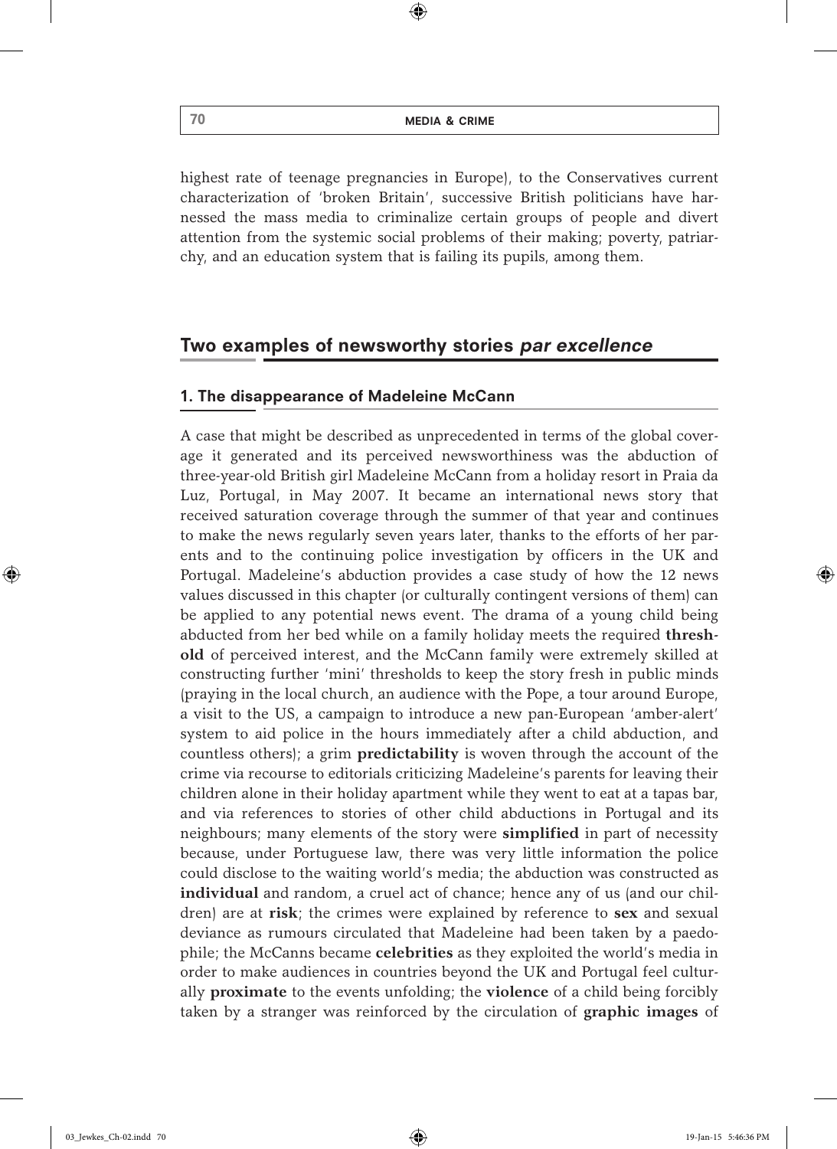$\textcircled{\scriptsize{*}}$ 

highest rate of teenage pregnancies in Europe), to the Conservatives current characterization of 'broken Britain', successive British politicians have harnessed the mass media to criminalize certain groups of people and divert attention from the systemic social problems of their making; poverty, patriarchy, and an education system that is failing its pupils, among them.

# Two examples of newsworthy stories par excellence

# 1. The disappearance of Madeleine McCann

A case that might be described as unprecedented in terms of the global coverage it generated and its perceived newsworthiness was the abduction of three-year-old British girl Madeleine McCann from a holiday resort in Praia da Luz, Portugal, in May 2007. It became an international news story that received saturation coverage through the summer of that year and continues to make the news regularly seven years later, thanks to the efforts of her parents and to the continuing police investigation by officers in the UK and Portugal. Madeleine's abduction provides a case study of how the 12 news values discussed in this chapter (or culturally contingent versions of them) can be applied to any potential news event. The drama of a young child being abducted from her bed while on a family holiday meets the required **threshold** of perceived interest, and the McCann family were extremely skilled at constructing further 'mini' thresholds to keep the story fresh in public minds (praying in the local church, an audience with the Pope, a tour around Europe, a visit to the US, a campaign to introduce a new pan-European 'amber-alert' system to aid police in the hours immediately after a child abduction, and countless others); a grim **predictability** is woven through the account of the crime via recourse to editorials criticizing Madeleine's parents for leaving their children alone in their holiday apartment while they went to eat at a tapas bar, and via references to stories of other child abductions in Portugal and its neighbours; many elements of the story were **simplified** in part of necessity because, under Portuguese law, there was very little information the police could disclose to the waiting world's media; the abduction was constructed as **individual** and random, a cruel act of chance; hence any of us (and our children) are at **risk**; the crimes were explained by reference to **sex** and sexual deviance as rumours circulated that Madeleine had been taken by a paedophile; the McCanns became **celebrities** as they exploited the world's media in order to make audiences in countries beyond the UK and Portugal feel culturally **proximate** to the events unfolding; the **violence** of a child being forcibly taken by a stranger was reinforced by the circulation of **graphic images** of

♠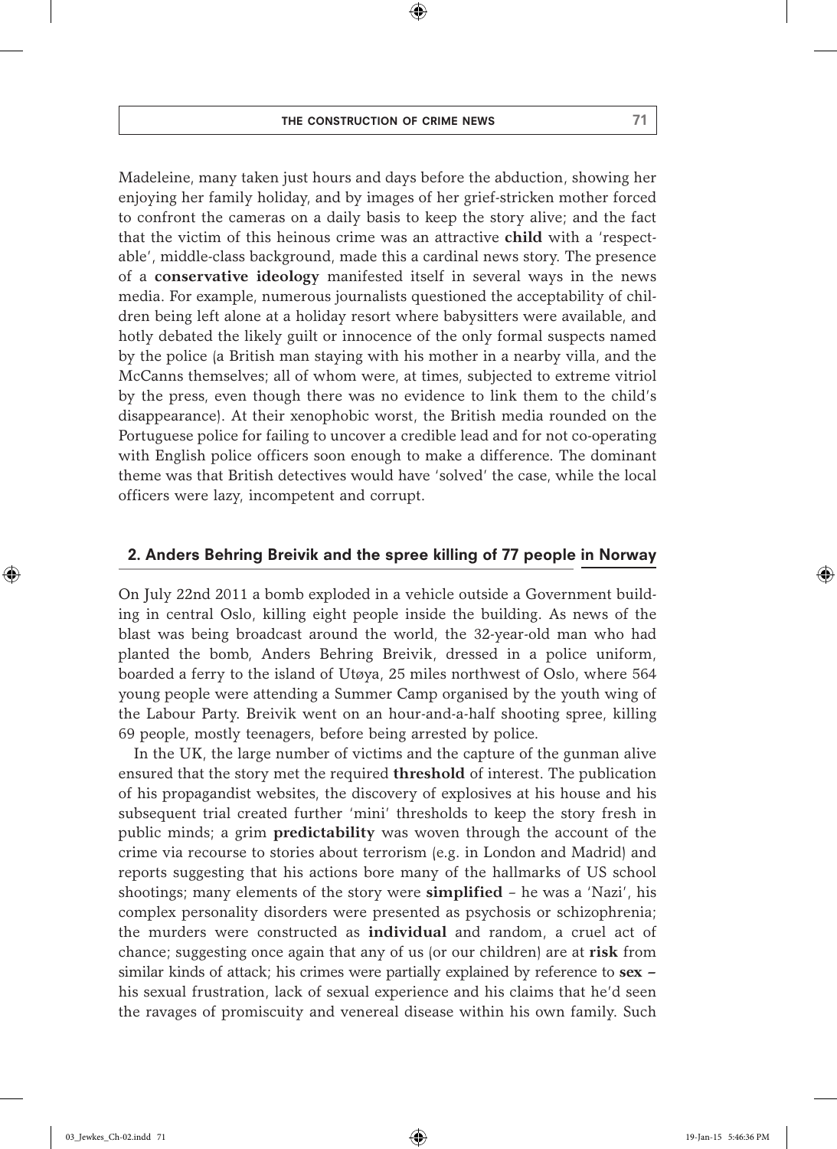⊕

Madeleine, many taken just hours and days before the abduction, showing her enjoying her family holiday, and by images of her grief-stricken mother forced to confront the cameras on a daily basis to keep the story alive; and the fact that the victim of this heinous crime was an attractive **child** with a 'respectable', middle-class background, made this a cardinal news story. The presence of a **conservative ideology** manifested itself in several ways in the news media. For example, numerous journalists questioned the acceptability of children being left alone at a holiday resort where babysitters were available, and hotly debated the likely guilt or innocence of the only formal suspects named by the police (a British man staying with his mother in a nearby villa, and the McCanns themselves; all of whom were, at times, subjected to extreme vitriol by the press, even though there was no evidence to link them to the child's disappearance). At their xenophobic worst, the British media rounded on the Portuguese police for failing to uncover a credible lead and for not co-operating with English police officers soon enough to make a difference. The dominant theme was that British detectives would have 'solved' the case, while the local officers were lazy, incompetent and corrupt.

# 2. Anders Behring Breivik and the spree killing of 77 people in Norway

On July 22nd 2011 a bomb exploded in a vehicle outside a Government building in central Oslo, killing eight people inside the building. As news of the blast was being broadcast around the world, the 32-year-old man who had planted the bomb, Anders Behring Breivik, dressed in a police uniform, boarded a ferry to the island of Utøya, 25 miles northwest of Oslo, where 564 young people were attending a Summer Camp organised by the youth wing of the Labour Party. Breivik went on an hour-and-a-half shooting spree, killing 69 people, mostly teenagers, before being arrested by police.

In the UK, the large number of victims and the capture of the gunman alive ensured that the story met the required **threshold** of interest. The publication of his propagandist websites, the discovery of explosives at his house and his subsequent trial created further 'mini' thresholds to keep the story fresh in public minds; a grim **predictability** was woven through the account of the crime via recourse to stories about terrorism (e.g. in London and Madrid) and reports suggesting that his actions bore many of the hallmarks of US school shootings; many elements of the story were **simplified** – he was a 'Nazi', his complex personality disorders were presented as psychosis or schizophrenia; the murders were constructed as **individual** and random, a cruel act of chance; suggesting once again that any of us (or our children) are at **risk** from similar kinds of attack; his crimes were partially explained by reference to **sex –** his sexual frustration, lack of sexual experience and his claims that he'd seen the ravages of promiscuity and venereal disease within his own family. Such

03\_Jewkes\_Ch-02.indd 71 19-Jan-15 5:46:36 PM

♠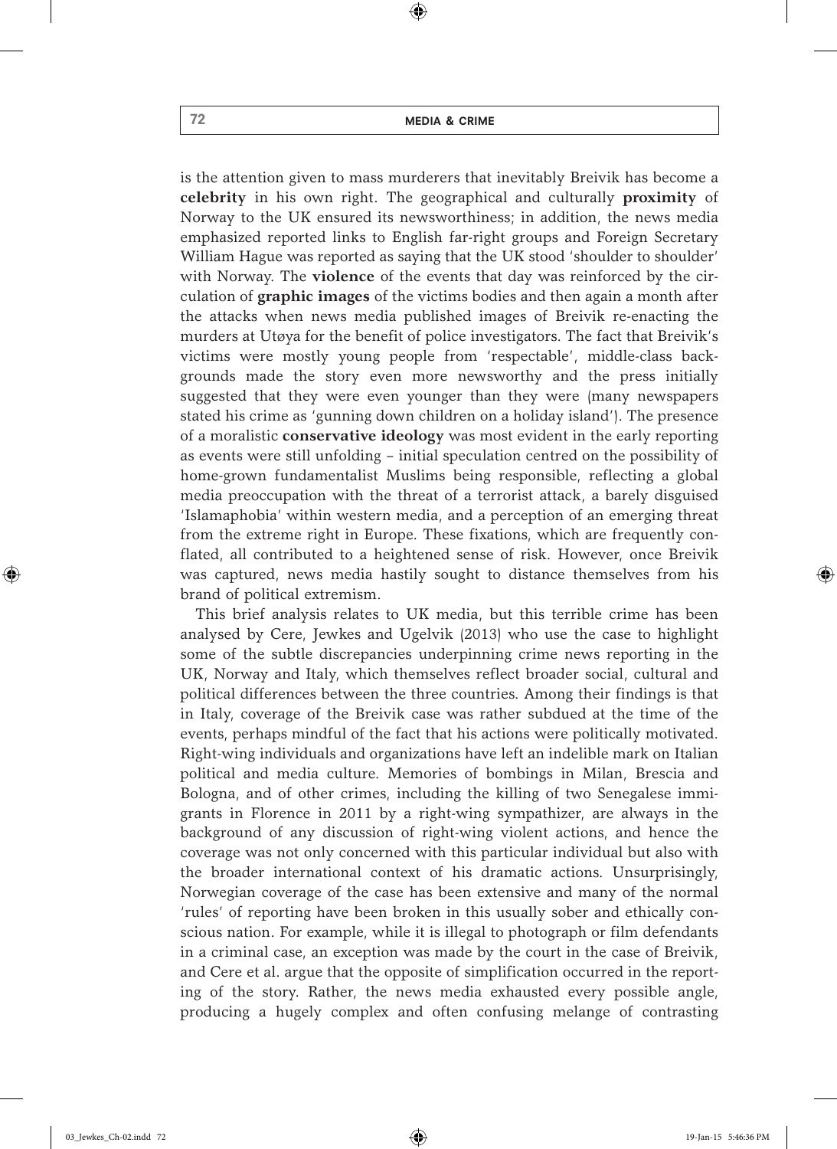# 72 media & crime

 $\textcircled{\scriptsize{*}}$ 

is the attention given to mass murderers that inevitably Breivik has become a **celebrity** in his own right. The geographical and culturally **proximity** of Norway to the UK ensured its newsworthiness; in addition, the news media emphasized reported links to English far-right groups and Foreign Secretary William Hague was reported as saying that the UK stood 'shoulder to shoulder' with Norway. The **violence** of the events that day was reinforced by the circulation of **graphic images** of the victims bodies and then again a month after the attacks when news media published images of Breivik re-enacting the murders at Utøya for the benefit of police investigators. The fact that Breivik's victims were mostly young people from 'respectable', middle-class backgrounds made the story even more newsworthy and the press initially suggested that they were even younger than they were (many newspapers stated his crime as 'gunning down children on a holiday island'). The presence of a moralistic **conservative ideology** was most evident in the early reporting as events were still unfolding – initial speculation centred on the possibility of home-grown fundamentalist Muslims being responsible, reflecting a global media preoccupation with the threat of a terrorist attack, a barely disguised 'Islamaphobia' within western media, and a perception of an emerging threat from the extreme right in Europe. These fixations, which are frequently conflated, all contributed to a heightened sense of risk. However, once Breivik was captured, news media hastily sought to distance themselves from his brand of political extremism.

This brief analysis relates to UK media, but this terrible crime has been analysed by Cere, Jewkes and Ugelvik (2013) who use the case to highlight some of the subtle discrepancies underpinning crime news reporting in the UK, Norway and Italy, which themselves reflect broader social, cultural and political differences between the three countries. Among their findings is that in Italy, coverage of the Breivik case was rather subdued at the time of the events, perhaps mindful of the fact that his actions were politically motivated. Right-wing individuals and organizations have left an indelible mark on Italian political and media culture. Memories of bombings in Milan, Brescia and Bologna, and of other crimes, including the killing of two Senegalese immigrants in Florence in 2011 by a right-wing sympathizer, are always in the background of any discussion of right-wing violent actions, and hence the coverage was not only concerned with this particular individual but also with the broader international context of his dramatic actions. Unsurprisingly, Norwegian coverage of the case has been extensive and many of the normal 'rules' of reporting have been broken in this usually sober and ethically conscious nation. For example, while it is illegal to photograph or film defendants in a criminal case, an exception was made by the court in the case of Breivik, and Cere et al. argue that the opposite of simplification occurred in the reporting of the story. Rather, the news media exhausted every possible angle, producing a hugely complex and often confusing melange of contrasting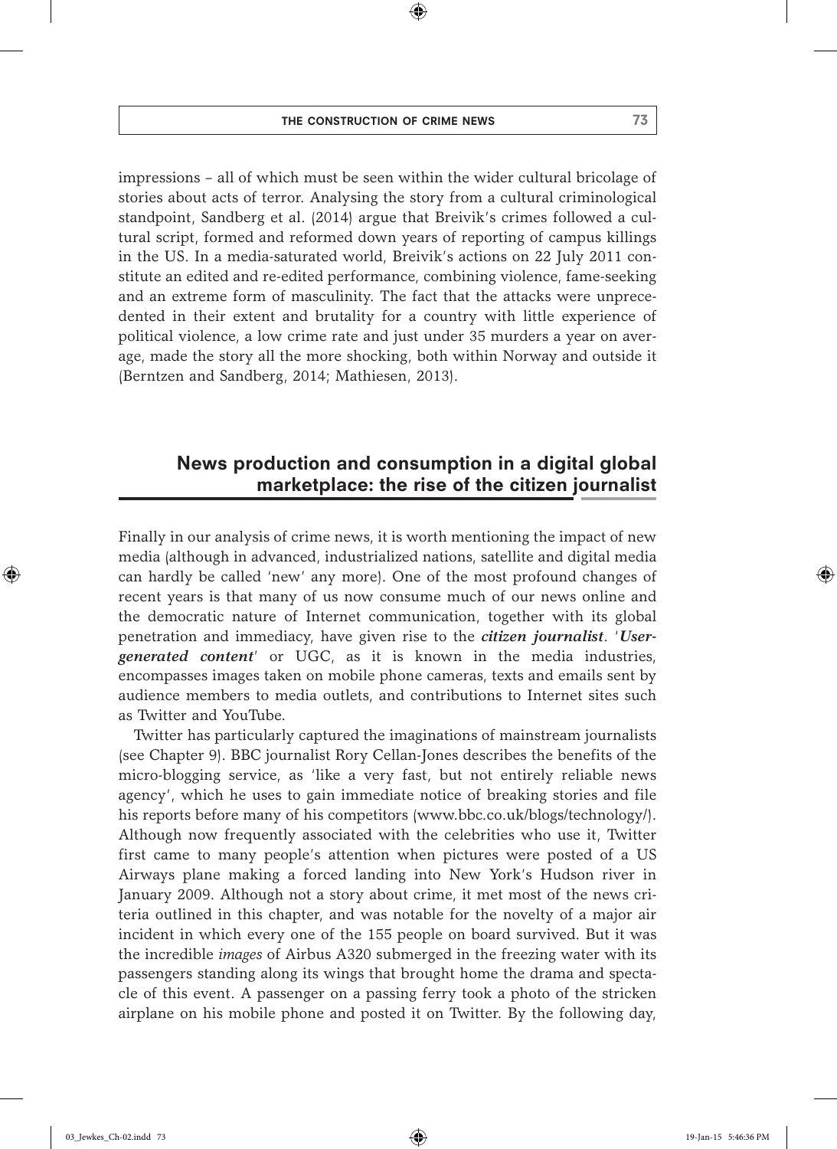⊕

impressions – all of which must be seen within the wider cultural bricolage of stories about acts of terror. Analysing the story from a cultural criminological standpoint, Sandberg et al. (2014) argue that Breivik's crimes followed a cultural script, formed and reformed down years of reporting of campus killings in the US. In a media-saturated world, Breivik's actions on 22 July 2011 constitute an edited and re-edited performance, combining violence, fame-seeking and an extreme form of masculinity. The fact that the attacks were unprecedented in their extent and brutality for a country with little experience of political violence, a low crime rate and just under 35 murders a year on average, made the story all the more shocking, both within Norway and outside it (Berntzen and Sandberg, 2014; Mathiesen, 2013).

# News production and consumption in a digital global marketplace: the rise of the citizen journalist

Finally in our analysis of crime news, it is worth mentioning the impact of new media (although in advanced, industrialized nations, satellite and digital media can hardly be called 'new' any more). One of the most profound changes of recent years is that many of us now consume much of our news online and the democratic nature of Internet communication, together with its global penetration and immediacy, have given rise to the *citizen journalist*. '*Usergenerated content*' or UGC, as it is known in the media industries, encompasses images taken on mobile phone cameras, texts and emails sent by audience members to media outlets, and contributions to Internet sites such as Twitter and YouTube.

Twitter has particularly captured the imaginations of mainstream journalists (see Chapter 9). BBC journalist Rory Cellan-Jones describes the benefits of the micro-blogging service, as 'like a very fast, but not entirely reliable news agency', which he uses to gain immediate notice of breaking stories and file his reports before many of his competitors (www.bbc.co.uk/blogs/technology/). Although now frequently associated with the celebrities who use it, Twitter first came to many people's attention when pictures were posted of a US Airways plane making a forced landing into New York's Hudson river in January 2009. Although not a story about crime, it met most of the news criteria outlined in this chapter, and was notable for the novelty of a major air incident in which every one of the 155 people on board survived. But it was the incredible *images* of Airbus A320 submerged in the freezing water with its passengers standing along its wings that brought home the drama and spectacle of this event. A passenger on a passing ferry took a photo of the stricken airplane on his mobile phone and posted it on Twitter. By the following day,

♠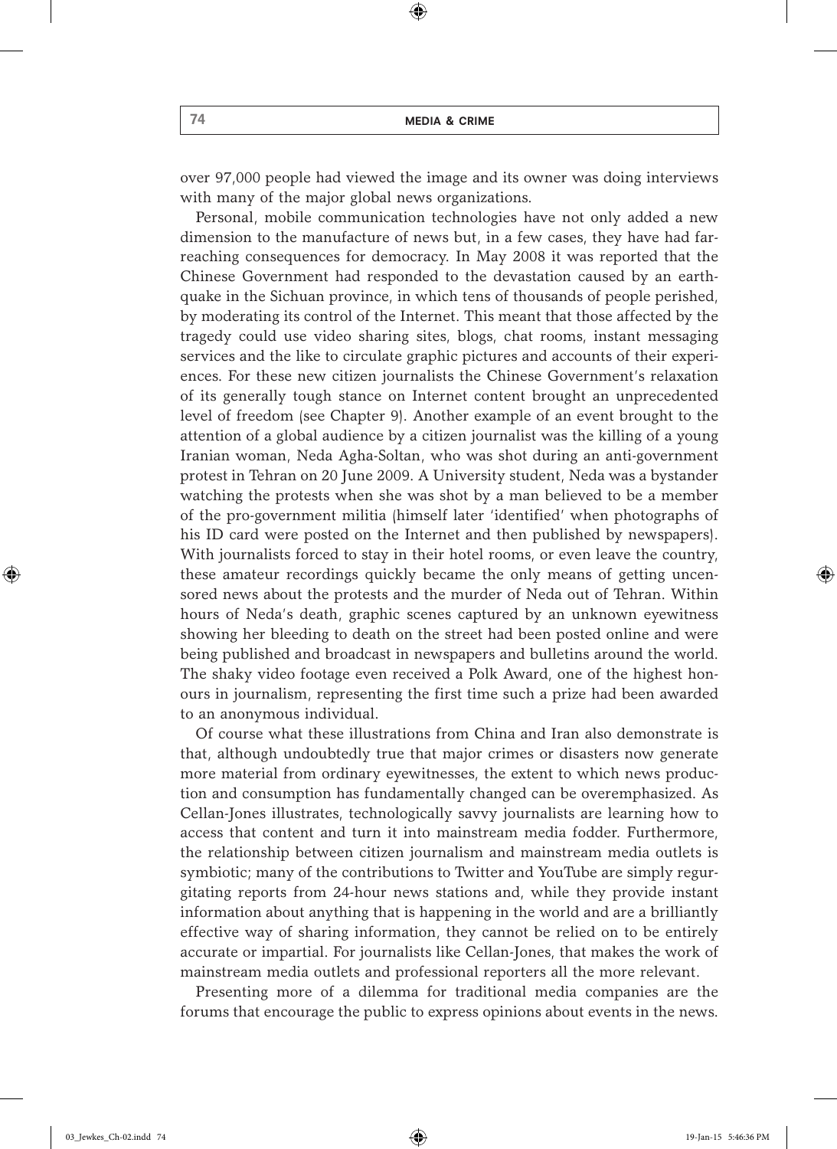⊕

over 97,000 people had viewed the image and its owner was doing interviews with many of the major global news organizations.

Personal, mobile communication technologies have not only added a new dimension to the manufacture of news but, in a few cases, they have had farreaching consequences for democracy. In May 2008 it was reported that the Chinese Government had responded to the devastation caused by an earthquake in the Sichuan province, in which tens of thousands of people perished, by moderating its control of the Internet. This meant that those affected by the tragedy could use video sharing sites, blogs, chat rooms, instant messaging services and the like to circulate graphic pictures and accounts of their experiences. For these new citizen journalists the Chinese Government's relaxation of its generally tough stance on Internet content brought an unprecedented level of freedom (see Chapter 9). Another example of an event brought to the attention of a global audience by a citizen journalist was the killing of a young Iranian woman, Neda Agha-Soltan, who was shot during an anti-government protest in Tehran on 20 June 2009. A University student, Neda was a bystander watching the protests when she was shot by a man believed to be a member of the pro-government militia (himself later 'identified' when photographs of his ID card were posted on the Internet and then published by newspapers). With journalists forced to stay in their hotel rooms, or even leave the country, these amateur recordings quickly became the only means of getting uncensored news about the protests and the murder of Neda out of Tehran. Within hours of Neda's death, graphic scenes captured by an unknown eyewitness showing her bleeding to death on the street had been posted online and were being published and broadcast in newspapers and bulletins around the world. The shaky video footage even received a Polk Award, one of the highest honours in journalism, representing the first time such a prize had been awarded to an anonymous individual.

Of course what these illustrations from China and Iran also demonstrate is that, although undoubtedly true that major crimes or disasters now generate more material from ordinary eyewitnesses, the extent to which news production and consumption has fundamentally changed can be overemphasized. As Cellan-Jones illustrates, technologically savvy journalists are learning how to access that content and turn it into mainstream media fodder. Furthermore, the relationship between citizen journalism and mainstream media outlets is symbiotic; many of the contributions to Twitter and YouTube are simply regurgitating reports from 24-hour news stations and, while they provide instant information about anything that is happening in the world and are a brilliantly effective way of sharing information, they cannot be relied on to be entirely accurate or impartial. For journalists like Cellan-Jones, that makes the work of mainstream media outlets and professional reporters all the more relevant.

Presenting more of a dilemma for traditional media companies are the forums that encourage the public to express opinions about events in the news.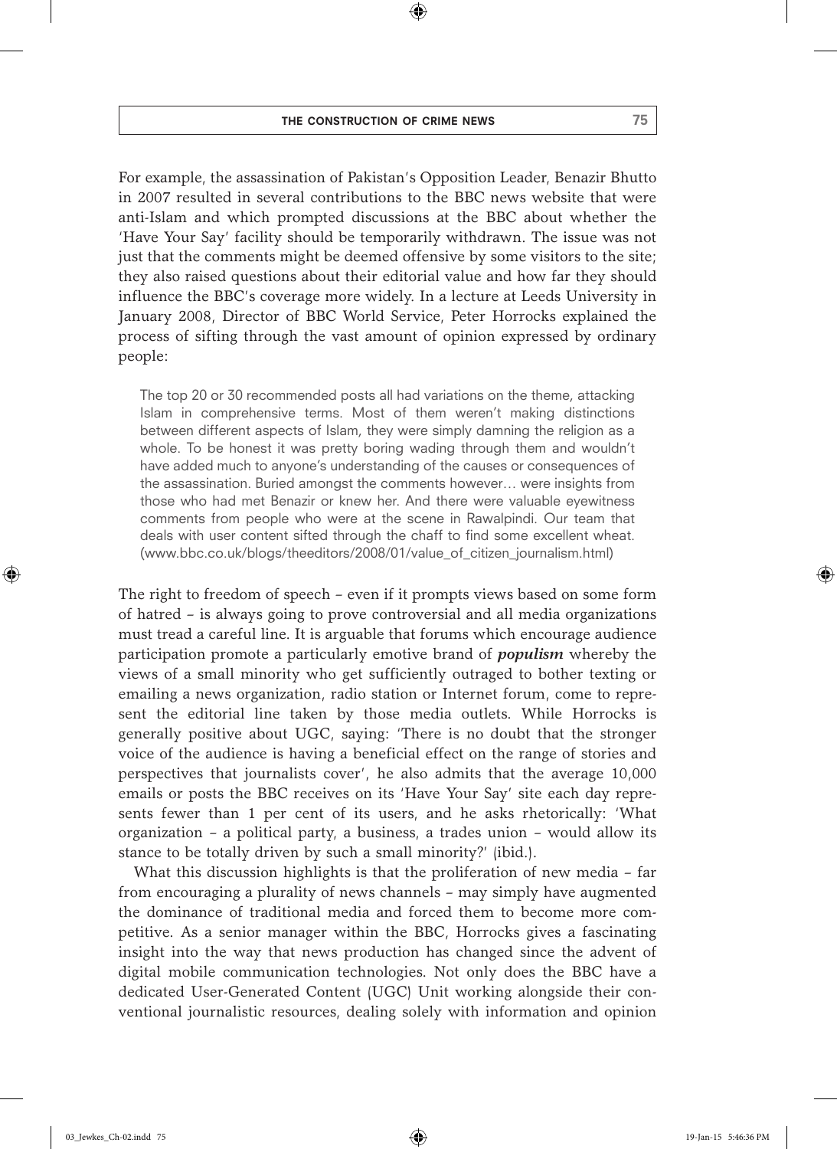⊕

For example, the assassination of Pakistan's Opposition Leader, Benazir Bhutto in 2007 resulted in several contributions to the BBC news website that were anti-Islam and which prompted discussions at the BBC about whether the 'Have Your Say' facility should be temporarily withdrawn. The issue was not just that the comments might be deemed offensive by some visitors to the site; they also raised questions about their editorial value and how far they should influence the BBC's coverage more widely. In a lecture at Leeds University in January 2008, Director of BBC World Service, Peter Horrocks explained the process of sifting through the vast amount of opinion expressed by ordinary people:

The top 20 or 30 recommended posts all had variations on the theme, attacking Islam in comprehensive terms. Most of them weren't making distinctions between different aspects of Islam, they were simply damning the religion as a whole. To be honest it was pretty boring wading through them and wouldn't have added much to anyone's understanding of the causes or consequences of the assassination. Buried amongst the comments however… were insights from those who had met Benazir or knew her. And there were valuable eyewitness comments from people who were at the scene in Rawalpindi. Our team that deals with user content sifted through the chaff to find some excellent wheat. (www.bbc.co.uk/blogs/theeditors/2008/01/value\_of\_citizen\_journalism.html)

The right to freedom of speech – even if it prompts views based on some form of hatred – is always going to prove controversial and all media organizations must tread a careful line. It is arguable that forums which encourage audience participation promote a particularly emotive brand of *populism* whereby the views of a small minority who get sufficiently outraged to bother texting or emailing a news organization, radio station or Internet forum, come to represent the editorial line taken by those media outlets. While Horrocks is generally positive about UGC, saying: 'There is no doubt that the stronger voice of the audience is having a beneficial effect on the range of stories and perspectives that journalists cover', he also admits that the average 10,000 emails or posts the BBC receives on its 'Have Your Say' site each day represents fewer than 1 per cent of its users, and he asks rhetorically: 'What organization – a political party, a business, a trades union – would allow its stance to be totally driven by such a small minority?' (ibid.).

What this discussion highlights is that the proliferation of new media – far from encouraging a plurality of news channels – may simply have augmented the dominance of traditional media and forced them to become more competitive. As a senior manager within the BBC, Horrocks gives a fascinating insight into the way that news production has changed since the advent of digital mobile communication technologies. Not only does the BBC have a dedicated User-Generated Content (UGC) Unit working alongside their conventional journalistic resources, dealing solely with information and opinion

⊕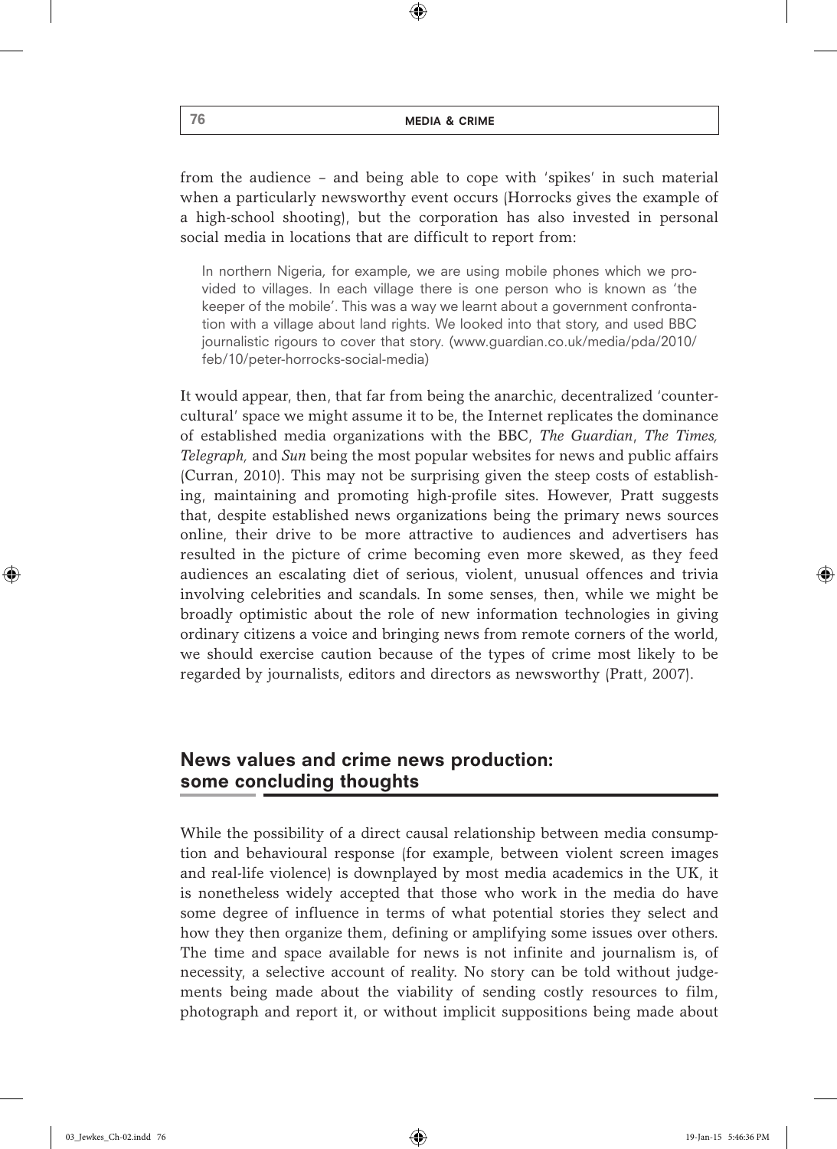# 76 media & crime

from the audience – and being able to cope with 'spikes' in such material when a particularly newsworthy event occurs (Horrocks gives the example of a high-school shooting), but the corporation has also invested in personal social media in locations that are difficult to report from:

 $\textcircled{\scriptsize{*}}$ 

In northern Nigeria, for example, we are using mobile phones which we provided to villages. In each village there is one person who is known as 'the keeper of the mobile'. This was a way we learnt about a government confrontation with a village about land rights. We looked into that story, and used BBC journalistic rigours to cover that story. (www.guardian.co.uk/media/pda/2010/ feb/10/peter-horrocks-social-media)

It would appear, then, that far from being the anarchic, decentralized 'countercultural' space we might assume it to be, the Internet replicates the dominance of established media organizations with the BBC, *The Guardian*, *The Times, Telegraph,* and *Sun* being the most popular websites for news and public affairs (Curran, 2010). This may not be surprising given the steep costs of establishing, maintaining and promoting high-profile sites. However, Pratt suggests that, despite established news organizations being the primary news sources online, their drive to be more attractive to audiences and advertisers has resulted in the picture of crime becoming even more skewed, as they feed audiences an escalating diet of serious, violent, unusual offences and trivia involving celebrities and scandals. In some senses, then, while we might be broadly optimistic about the role of new information technologies in giving ordinary citizens a voice and bringing news from remote corners of the world, we should exercise caution because of the types of crime most likely to be regarded by journalists, editors and directors as newsworthy (Pratt, 2007).

# News values and crime news production: some concluding thoughts

While the possibility of a direct causal relationship between media consumption and behavioural response (for example, between violent screen images and real-life violence) is downplayed by most media academics in the UK, it is nonetheless widely accepted that those who work in the media do have some degree of influence in terms of what potential stories they select and how they then organize them, defining or amplifying some issues over others. The time and space available for news is not infinite and journalism is, of necessity, a selective account of reality. No story can be told without judgements being made about the viability of sending costly resources to film, photograph and report it, or without implicit suppositions being made about

♠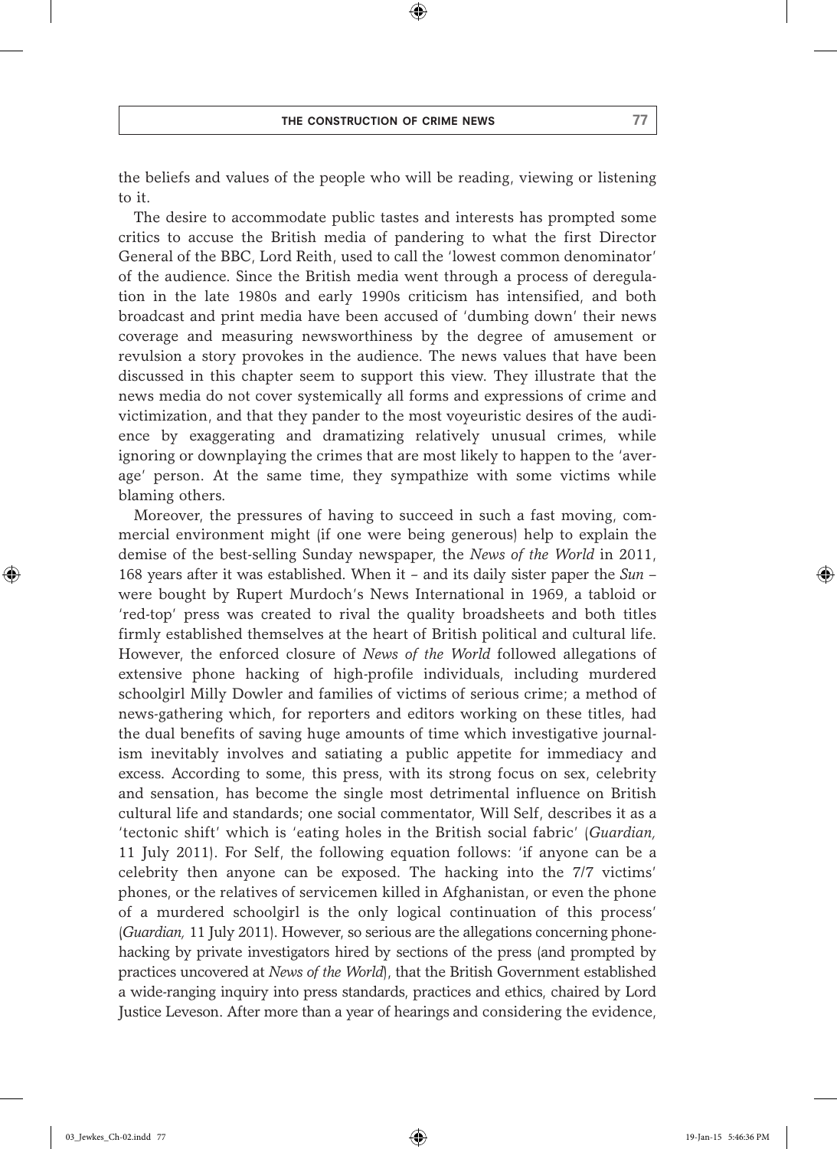⊕

the beliefs and values of the people who will be reading, viewing or listening to it.

The desire to accommodate public tastes and interests has prompted some critics to accuse the British media of pandering to what the first Director General of the BBC, Lord Reith, used to call the 'lowest common denominator' of the audience. Since the British media went through a process of deregulation in the late 1980s and early 1990s criticism has intensified, and both broadcast and print media have been accused of 'dumbing down' their news coverage and measuring newsworthiness by the degree of amusement or revulsion a story provokes in the audience. The news values that have been discussed in this chapter seem to support this view. They illustrate that the news media do not cover systemically all forms and expressions of crime and victimization, and that they pander to the most voyeuristic desires of the audience by exaggerating and dramatizing relatively unusual crimes, while ignoring or downplaying the crimes that are most likely to happen to the 'average' person. At the same time, they sympathize with some victims while blaming others.

Moreover, the pressures of having to succeed in such a fast moving, commercial environment might (if one were being generous) help to explain the demise of the best-selling Sunday newspaper, the *News of the World* in 2011, 168 years after it was established. When it – and its daily sister paper the *Sun –*  were bought by Rupert Murdoch's News International in 1969, a tabloid or 'red-top' press was created to rival the quality broadsheets and both titles firmly established themselves at the heart of British political and cultural life. However, the enforced closure of *News of the World* followed allegations of extensive phone hacking of high-profile individuals, including murdered schoolgirl Milly Dowler and families of victims of serious crime; a method of news-gathering which, for reporters and editors working on these titles, had the dual benefits of saving huge amounts of time which investigative journalism inevitably involves and satiating a public appetite for immediacy and excess. According to some, this press, with its strong focus on sex, celebrity and sensation, has become the single most detrimental influence on British cultural life and standards; one social commentator, Will Self, describes it as a 'tectonic shift' which is 'eating holes in the British social fabric' (*Guardian,*  11 July 2011). For Self, the following equation follows: 'if anyone can be a celebrity then anyone can be exposed. The hacking into the 7/7 victims' phones, or the relatives of servicemen killed in Afghanistan, or even the phone of a murdered schoolgirl is the only logical continuation of this process' (*Guardian,* 11 July 2011). However, so serious are the allegations concerning phonehacking by private investigators hired by sections of the press (and prompted by practices uncovered at *News of the World*), that the British Government established a wide-ranging inquiry into press standards, practices and ethics, chaired by Lord Justice Leveson. After more than a year of hearings and considering the evidence,

♠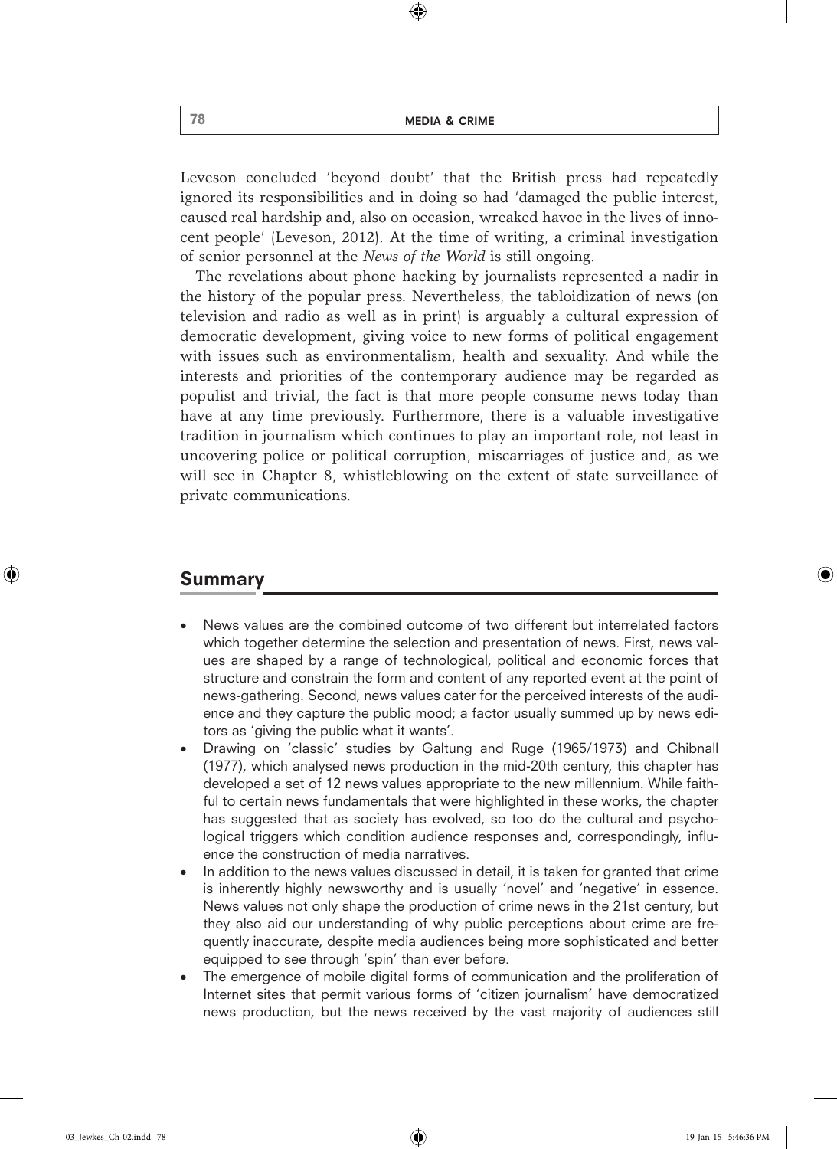| 78<br><b>MEDIA &amp; CRIME</b> |  |
|--------------------------------|--|
|--------------------------------|--|

 $\textcircled{\scriptsize{*}}$ 

Leveson concluded 'beyond doubt' that the British press had repeatedly ignored its responsibilities and in doing so had 'damaged the public interest, caused real hardship and, also on occasion, wreaked havoc in the lives of innocent people' (Leveson, 2012). At the time of writing, a criminal investigation of senior personnel at the *News of the World* is still ongoing.

The revelations about phone hacking by journalists represented a nadir in the history of the popular press. Nevertheless, the tabloidization of news (on television and radio as well as in print) is arguably a cultural expression of democratic development, giving voice to new forms of political engagement with issues such as environmentalism, health and sexuality. And while the interests and priorities of the contemporary audience may be regarded as populist and trivial, the fact is that more people consume news today than have at any time previously. Furthermore, there is a valuable investigative tradition in journalism which continues to play an important role, not least in uncovering police or political corruption, miscarriages of justice and, as we will see in Chapter 8, whistleblowing on the extent of state surveillance of private communications.

# Summary

♠

- News values are the combined outcome of two different but interrelated factors which together determine the selection and presentation of news. First, news values are shaped by a range of technological, political and economic forces that structure and constrain the form and content of any reported event at the point of news-gathering. Second, news values cater for the perceived interests of the audience and they capture the public mood; a factor usually summed up by news editors as 'giving the public what it wants'.
- Drawing on 'classic' studies by Galtung and Ruge (1965/1973) and Chibnall (1977), which analysed news production in the mid-20th century, this chapter has developed a set of 12 news values appropriate to the new millennium. While faithful to certain news fundamentals that were highlighted in these works, the chapter has suggested that as society has evolved, so too do the cultural and psychological triggers which condition audience responses and, correspondingly, influence the construction of media narratives.
- In addition to the news values discussed in detail, it is taken for granted that crime is inherently highly newsworthy and is usually 'novel' and 'negative' in essence. News values not only shape the production of crime news in the 21st century, but they also aid our understanding of why public perceptions about crime are frequently inaccurate, despite media audiences being more sophisticated and better equipped to see through 'spin' than ever before.
- The emergence of mobile digital forms of communication and the proliferation of Internet sites that permit various forms of 'citizen journalism' have democratized news production, but the news received by the vast majority of audiences still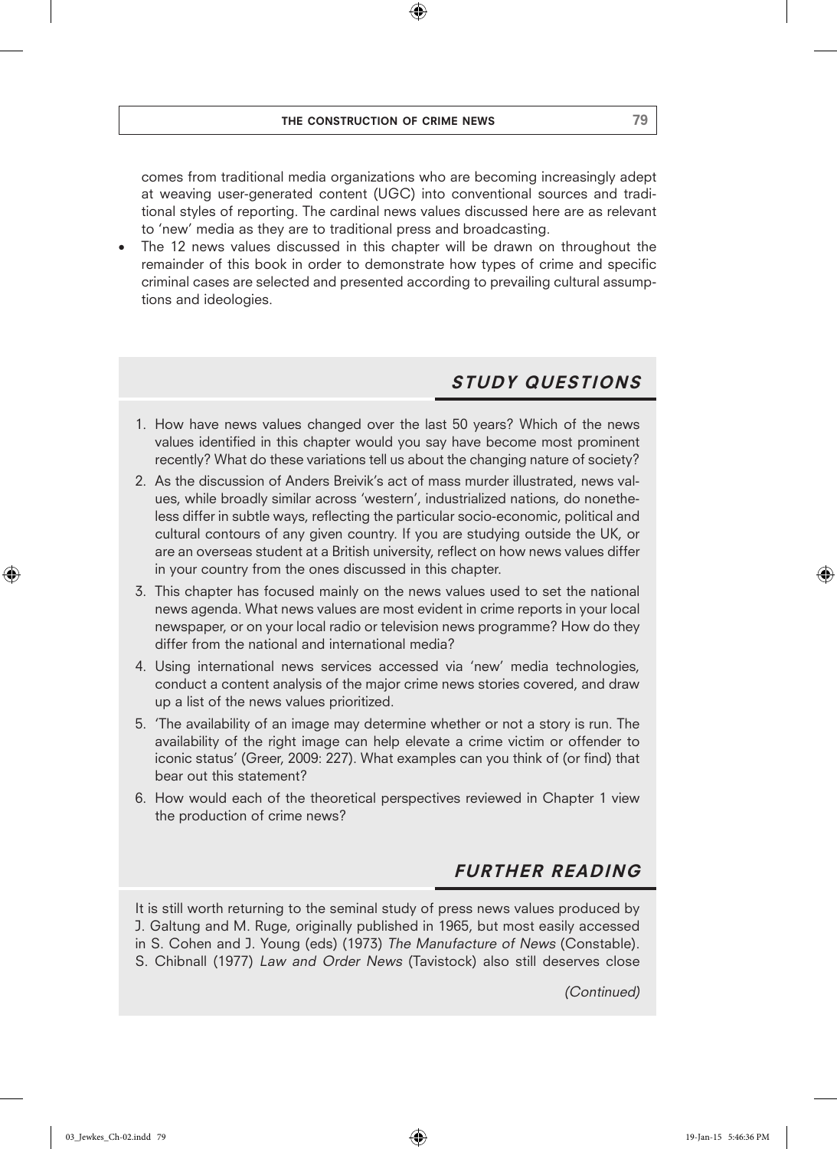⊕

comes from traditional media organizations who are becoming increasingly adept at weaving user-generated content (UGC) into conventional sources and traditional styles of reporting. The cardinal news values discussed here are as relevant to 'new' media as they are to traditional press and broadcasting.

The 12 news values discussed in this chapter will be drawn on throughout the remainder of this book in order to demonstrate how types of crime and specific criminal cases are selected and presented according to prevailing cultural assumptions and ideologies.

# STUDY QUESTIONS

- 1. How have news values changed over the last 50 years? Which of the news values identified in this chapter would you say have become most prominent recently? What do these variations tell us about the changing nature of society?
- 2. As the discussion of Anders Breivik's act of mass murder illustrated, news values, while broadly similar across 'western', industrialized nations, do nonetheless differ in subtle ways, reflecting the particular socio-economic, political and cultural contours of any given country. If you are studying outside the UK, or are an overseas student at a British university, reflect on how news values differ in your country from the ones discussed in this chapter.
- 3. This chapter has focused mainly on the news values used to set the national news agenda. What news values are most evident in crime reports in your local newspaper, or on your local radio or television news programme? How do they differ from the national and international media?
- 4. Using international news services accessed via 'new' media technologies, conduct a content analysis of the major crime news stories covered, and draw up a list of the news values prioritized.
- 5. 'The availability of an image may determine whether or not a story is run. The availability of the right image can help elevate a crime victim or offender to iconic status' (Greer, 2009: 227). What examples can you think of (or find) that bear out this statement?
- 6. How would each of the theoretical perspectives reviewed in Chapter 1 view the production of crime news?

# FURTHER READING

It is still worth returning to the seminal study of press news values produced by J. Galtung and M. Ruge, originally published in 1965, but most easily accessed in S. Cohen and J. Young (eds) (1973) The Manufacture of News (Constable). S. Chibnall (1977) Law and Order News (Tavistock) also still deserves close

(Continued)

♠